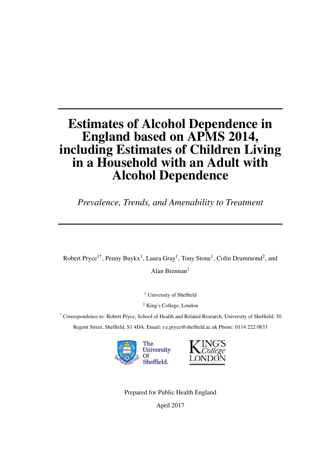# Estimates of Alcohol Dependence in England based on APMS 2014, including Estimates of Children Living in a Household with an Adult with Alcohol Dependence

*Prevalence, Trends, and Amenability to Treatment*

Robert Pryce<sup>1\*</sup>, Penny Buykx<sup>1</sup>, Laura Gray<sup>1</sup>, Tony Stone<sup>1</sup>, Colin Drummond<sup>2</sup>, and

Alan Brennan<sup>1</sup>

<sup>1</sup> University of Sheffield

<sup>2</sup> King's College, London

\* Correspondence to: Robert Pryce, School of Health and Related Research, University of Sheffield, 30 Regent Street, Sheffield, S1 4DA. Email: r.e.pryce@sheffield.ac.uk Phone: 0114 222 0833



Prepared for Public Health England

April 2017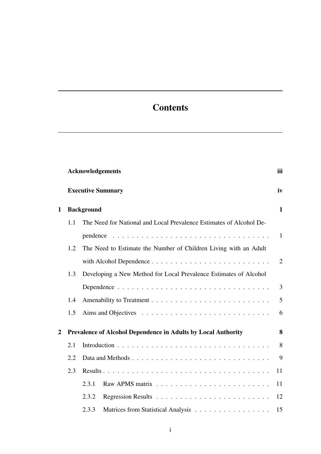# **Contents**

|   |     | <b>Acknowledgements</b>                                              | iii          |
|---|-----|----------------------------------------------------------------------|--------------|
|   |     | <b>Executive Summary</b>                                             | iv           |
| 1 |     | <b>Background</b>                                                    | $\mathbf{1}$ |
|   | 1.1 | The Need for National and Local Prevalence Estimates of Alcohol De-  |              |
|   |     |                                                                      | $\mathbf{1}$ |
|   | 1.2 | The Need to Estimate the Number of Children Living with an Adult     |              |
|   |     |                                                                      | 2            |
|   | 1.3 | Developing a New Method for Local Prevalence Estimates of Alcohol    |              |
|   |     |                                                                      | 3            |
|   | 1.4 |                                                                      | 5            |
|   | 1.5 |                                                                      | 6            |
| 2 |     | <b>Prevalence of Alcohol Dependence in Adults by Local Authority</b> | 8            |
|   | 2.1 |                                                                      | 8            |
|   | 2.2 |                                                                      | 9            |
|   | 2.3 |                                                                      | 11           |
|   |     | 2.3.1                                                                | 11           |
|   |     | 2.3.2                                                                | 12           |
|   |     | 2.3.3<br>Matrices from Statistical Analysis                          | 15           |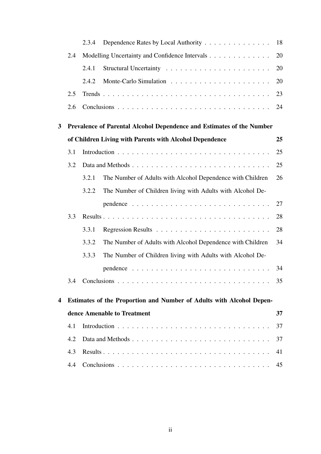|              |     | 2.3.4 | Dependence Rates by Local Authority                                   | 18 |
|--------------|-----|-------|-----------------------------------------------------------------------|----|
|              | 2.4 |       | Modelling Uncertainty and Confidence Intervals                        | 20 |
|              |     | 2.4.1 |                                                                       | 20 |
|              |     | 2.4.2 |                                                                       | 20 |
|              | 2.5 |       |                                                                       | 23 |
|              | 2.6 |       |                                                                       | 24 |
| $\mathbf{3}$ |     |       | Prevalence of Parental Alcohol Dependence and Estimates of the Number |    |
|              |     |       | of Children Living with Parents with Alcohol Dependence               | 25 |
|              | 3.1 |       |                                                                       | 25 |
|              | 3.2 |       |                                                                       | 25 |
|              |     | 3.2.1 | The Number of Adults with Alcohol Dependence with Children            | 26 |
|              |     | 3.2.2 | The Number of Children living with Adults with Alcohol De-            |    |
|              |     |       |                                                                       | 27 |
|              | 3.3 |       |                                                                       | 28 |
|              |     | 3.3.1 |                                                                       | 28 |
|              |     | 3.3.2 | The Number of Adults with Alcohol Dependence with Children            | 34 |
|              |     | 3.3.3 | The Number of Children living with Adults with Alcohol De-            |    |
|              |     |       |                                                                       | 34 |
|              | 3.4 |       |                                                                       | 35 |
| 4            |     |       | Estimates of the Proportion and Number of Adults with Alcohol Depen-  |    |
|              |     |       | dence Amenable to Treatment                                           | 37 |
|              | 4.1 |       |                                                                       | 37 |
|              | 4.2 |       |                                                                       | 37 |
|              | 4.3 |       |                                                                       | 41 |
|              | 4.4 |       |                                                                       | 45 |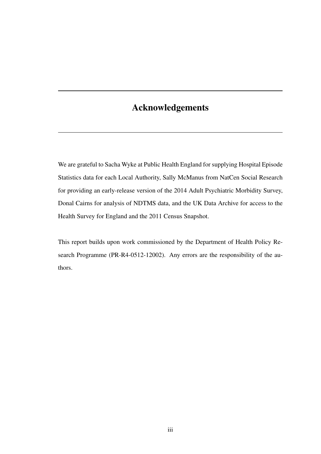## <span id="page-3-0"></span>Acknowledgements

We are grateful to Sacha Wyke at Public Health England for supplying Hospital Episode Statistics data for each Local Authority, Sally McManus from NatCen Social Research for providing an early-release version of the 2014 Adult Psychiatric Morbidity Survey, Donal Cairns for analysis of NDTMS data, and the UK Data Archive for access to the Health Survey for England and the 2011 Census Snapshot.

This report builds upon work commissioned by the Department of Health Policy Research Programme (PR-R4-0512-12002). Any errors are the responsibility of the authors.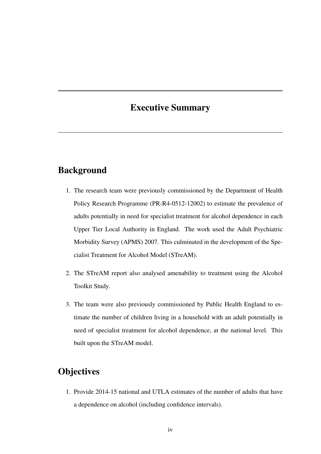## <span id="page-4-0"></span>Executive Summary

#### Background

- 1. The research team were previously commissioned by the Department of Health Policy Research Programme (PR-R4-0512-12002) to estimate the prevalence of adults potentially in need for specialist treatment for alcohol dependence in each Upper Tier Local Authority in England. The work used the Adult Psychiatric Morbidity Survey (APMS) 2007. This culminated in the development of the Specialist Treatment for Alcohol Model (STreAM).
- 2. The STreAM report also analysed amenability to treatment using the Alcohol Toolkit Study.
- 3. The team were also previously commissioned by Public Health England to estimate the number of children living in a household with an adult potentially in need of specialist treatment for alcohol dependence, at the national level. This built upon the STreAM model.

#### **Objectives**

1. Provide 2014-15 national and UTLA estimates of the number of adults that have a dependence on alcohol (including confidence intervals).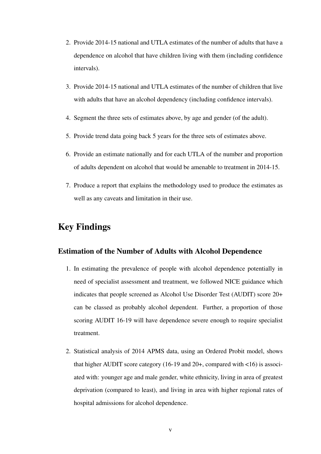- 2. Provide 2014-15 national and UTLA estimates of the number of adults that have a dependence on alcohol that have children living with them (including confidence intervals).
- 3. Provide 2014-15 national and UTLA estimates of the number of children that live with adults that have an alcohol dependency (including confidence intervals).
- 4. Segment the three sets of estimates above, by age and gender (of the adult).
- 5. Provide trend data going back 5 years for the three sets of estimates above.
- 6. Provide an estimate nationally and for each UTLA of the number and proportion of adults dependent on alcohol that would be amenable to treatment in 2014-15.
- 7. Produce a report that explains the methodology used to produce the estimates as well as any caveats and limitation in their use.

#### Key Findings

#### Estimation of the Number of Adults with Alcohol Dependence

- 1. In estimating the prevalence of people with alcohol dependence potentially in need of specialist assessment and treatment, we followed NICE guidance which indicates that people screened as Alcohol Use Disorder Test (AUDIT) score 20+ can be classed as probably alcohol dependent. Further, a proportion of those scoring AUDIT 16-19 will have dependence severe enough to require specialist treatment.
- 2. Statistical analysis of 2014 APMS data, using an Ordered Probit model, shows that higher AUDIT score category (16-19 and 20+, compared with  $\lt 16$ ) is associated with: younger age and male gender, white ethnicity, living in area of greatest deprivation (compared to least), and living in area with higher regional rates of hospital admissions for alcohol dependence.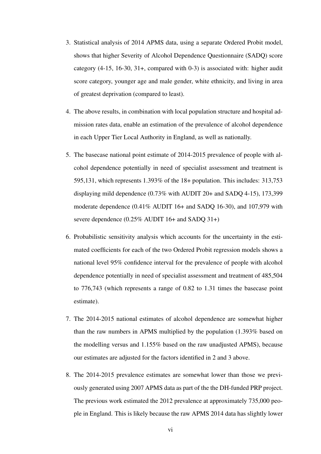- 3. Statistical analysis of 2014 APMS data, using a separate Ordered Probit model, shows that higher Severity of Alcohol Dependence Questionnaire (SADQ) score category (4-15, 16-30, 31+, compared with 0-3) is associated with: higher audit score category, younger age and male gender, white ethnicity, and living in area of greatest deprivation (compared to least).
- 4. The above results, in combination with local population structure and hospital admission rates data, enable an estimation of the prevalence of alcohol dependence in each Upper Tier Local Authority in England, as well as nationally.
- 5. The basecase national point estimate of 2014-2015 prevalence of people with alcohol dependence potentially in need of specialist assessment and treatment is 595,131, which represents 1.393% of the 18+ population. This includes: 313,753 displaying mild dependence (0.73% with AUDIT 20+ and SADQ 4-15), 173,399 moderate dependence (0.41% AUDIT 16+ and SADQ 16-30), and 107,979 with severe dependence (0.25% AUDIT 16+ and SADQ 31+)
- 6. Probabilistic sensitivity analysis which accounts for the uncertainty in the estimated coefficients for each of the two Ordered Probit regression models shows a national level 95% confidence interval for the prevalence of people with alcohol dependence potentially in need of specialist assessment and treatment of 485,504 to 776,743 (which represents a range of 0.82 to 1.31 times the basecase point estimate).
- 7. The 2014-2015 national estimates of alcohol dependence are somewhat higher than the raw numbers in APMS multiplied by the population (1.393% based on the modelling versus and 1.155% based on the raw unadjusted APMS), because our estimates are adjusted for the factors identified in 2 and 3 above.
- 8. The 2014-2015 prevalence estimates are somewhat lower than those we previously generated using 2007 APMS data as part of the the DH-funded PRP project. The previous work estimated the 2012 prevalence at approximately 735,000 people in England. This is likely because the raw APMS 2014 data has slightly lower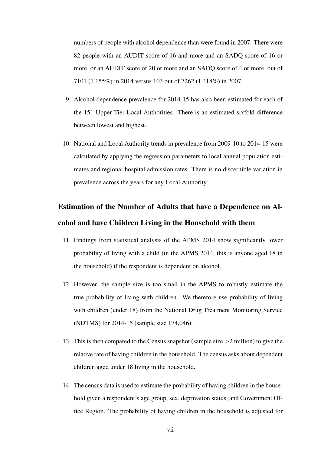numbers of people with alcohol dependence than were found in 2007. There were 82 people with an AUDIT score of 16 and more and an SADQ score of 16 or more, or an AUDIT score of 20 or more and an SADQ score of 4 or more, out of 7101 (1.155%) in 2014 versus 103 out of 7262 (1.418%) in 2007.

- 9. Alcohol dependence prevalence for 2014-15 has also been estimated for each of the 151 Upper Tier Local Authorities. There is an estimated sixfold difference between lowest and highest.
- 10. National and Local Authority trends in prevalence from 2009-10 to 2014-15 were calculated by applying the regression parameters to local annual population estimates and regional hospital admission rates. There is no discernible variation in prevalence across the years for any Local Authority.

# Estimation of the Number of Adults that have a Dependence on Alcohol and have Children Living in the Household with them

- 11. Findings from statistical analysis of the APMS 2014 show significantly lower probability of living with a child (in the APMS 2014, this is anyone aged 18 in the household) if the respondent is dependent on alcohol.
- 12. However, the sample size is too small in the APMS to robustly estimate the true probability of living with children. We therefore use probability of living with children (under 18) from the National Drug Treatment Monitoring Service (NDTMS) for 2014-15 (sample size 174,046).
- 13. This is then compared to the Census snapshot (sample size >2 million) to give the relative rate of having children in the household. The census asks about dependent children aged under 18 living in the household.
- 14. The census data is used to estimate the probability of having children in the household given a respondent's age group, sex, deprivation status, and Government Office Region. The probability of having children in the household is adjusted for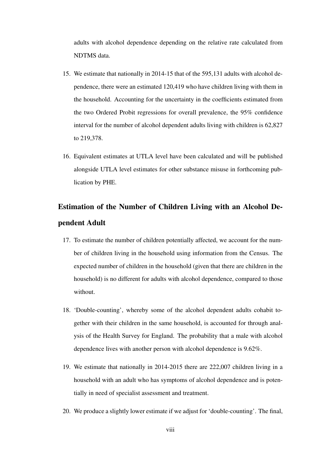adults with alcohol dependence depending on the relative rate calculated from NDTMS data.

- 15. We estimate that nationally in 2014-15 that of the 595,131 adults with alcohol dependence, there were an estimated 120,419 who have children living with them in the household. Accounting for the uncertainty in the coefficients estimated from the two Ordered Probit regressions for overall prevalence, the 95% confidence interval for the number of alcohol dependent adults living with children is 62,827 to 219,378.
- 16. Equivalent estimates at UTLA level have been calculated and will be published alongside UTLA level estimates for other substance misuse in forthcoming publication by PHE.

# Estimation of the Number of Children Living with an Alcohol Dependent Adult

- 17. To estimate the number of children potentially affected, we account for the number of children living in the household using information from the Census. The expected number of children in the household (given that there are children in the household) is no different for adults with alcohol dependence, compared to those without.
- 18. 'Double-counting', whereby some of the alcohol dependent adults cohabit together with their children in the same household, is accounted for through analysis of the Health Survey for England. The probability that a male with alcohol dependence lives with another person with alcohol dependence is 9.62%.
- 19. We estimate that nationally in 2014-2015 there are 222,007 children living in a household with an adult who has symptoms of alcohol dependence and is potentially in need of specialist assessment and treatment.
- 20. We produce a slightly lower estimate if we adjust for 'double-counting'. The final,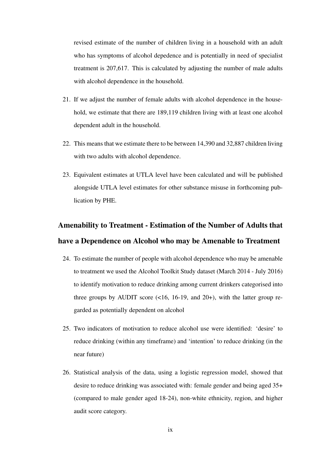revised estimate of the number of children living in a household with an adult who has symptoms of alcohol depedence and is potentially in need of specialist treatment is 207,617. This is calculated by adjusting the number of male adults with alcohol dependence in the household.

- 21. If we adjust the number of female adults with alcohol dependence in the household, we estimate that there are 189,119 children living with at least one alcohol dependent adult in the household.
- 22. This means that we estimate there to be between 14,390 and 32,887 children living with two adults with alcohol dependence.
- 23. Equivalent estimates at UTLA level have been calculated and will be published alongside UTLA level estimates for other substance misuse in forthcoming publication by PHE.

# Amenability to Treatment - Estimation of the Number of Adults that have a Dependence on Alcohol who may be Amenable to Treatment

- 24. To estimate the number of people with alcohol dependence who may be amenable to treatment we used the Alcohol Toolkit Study dataset (March 2014 - July 2016) to identify motivation to reduce drinking among current drinkers categorised into three groups by AUDIT score  $($ <16, 16-19, and 20+), with the latter group regarded as potentially dependent on alcohol
- 25. Two indicators of motivation to reduce alcohol use were identified: 'desire' to reduce drinking (within any timeframe) and 'intention' to reduce drinking (in the near future)
- 26. Statistical analysis of the data, using a logistic regression model, showed that desire to reduce drinking was associated with: female gender and being aged 35+ (compared to male gender aged 18-24), non-white ethnicity, region, and higher audit score category.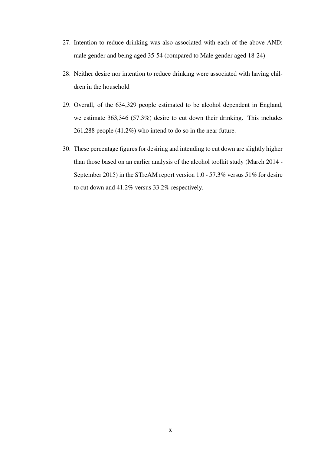- 27. Intention to reduce drinking was also associated with each of the above AND: male gender and being aged 35-54 (compared to Male gender aged 18-24)
- 28. Neither desire nor intention to reduce drinking were associated with having children in the household
- 29. Overall, of the 634,329 people estimated to be alcohol dependent in England, we estimate 363,346 (57.3%) desire to cut down their drinking. This includes 261,288 people (41.2%) who intend to do so in the near future.
- 30. These percentage figures for desiring and intending to cut down are slightly higher than those based on an earlier analysis of the alcohol toolkit study (March 2014 - September 2015) in the STreAM report version 1.0 - 57.3% versus 51% for desire to cut down and 41.2% versus 33.2% respectively.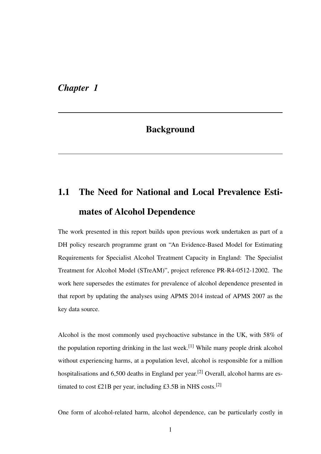#### <span id="page-11-0"></span>*Chapter 1*

# **Background**

# <span id="page-11-1"></span>1.1 The Need for National and Local Prevalence Estimates of Alcohol Dependence

The work presented in this report builds upon previous work undertaken as part of a DH policy research programme grant on "An Evidence-Based Model for Estimating Requirements for Specialist Alcohol Treatment Capacity in England: The Specialist Treatment for Alcohol Model (STreAM)", project reference PR-R4-0512-12002. The work here supersedes the estimates for prevalence of alcohol dependence presented in that report by updating the analyses using APMS 2014 instead of APMS 2007 as the key data source.

Alcohol is the most commonly used psychoactive substance in the UK, with 58% of the population reporting drinking in the last week.<sup>[1]</sup> While many people drink alcohol without experiencing harms, at a population level, alcohol is responsible for a million hospitalisations and  $6,500$  deaths in England per year.<sup>[2]</sup> Overall, alcohol harms are estimated to cost £21B per year, including £3.5B in NHS costs.<sup>[2]</sup>

One form of alcohol-related harm, alcohol dependence, can be particularly costly in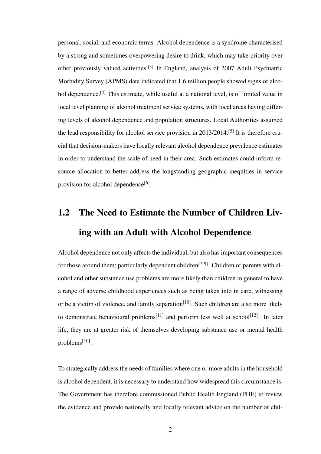personal, social, and economic terms. Alcohol dependence is a syndrome characterised by a strong and sometimes overpowering desire to drink, which may take priority over other previously valued activities.[3] In England, analysis of 2007 Adult Psychiatric Morbidity Survey (APMS) data indicated that 1.6 million people showed signs of alcohol dependence.<sup>[4]</sup> This estimate, while useful at a national level, is of limited value in local level planning of alcohol treatment service systems, with local areas having differing levels of alcohol dependence and population structures. Local Authorities assumed the lead responsibility for alcohol service provision in 2013/2014.[5] It is therefore crucial that decision-makers have locally relevant alcohol dependence prevalence estimates in order to understand the scale of need in their area. Such estimates could inform resource allocation to better address the longstanding geographic inequities in service provision for alcohol dependence<sup>[6]</sup>.

# <span id="page-12-0"></span>1.2 The Need to Estimate the Number of Children Living with an Adult with Alcohol Dependence

Alcohol dependence not only affects the individual, but also has important consequences for those around them; particularly dependent children<sup>[7-9]</sup>. Children of parents with alcohol and other substance use problems are more likely than children in general to have a range of adverse childhood experiences such as being taken into in care, witnessing or be a victim of violence, and family separation<sup>[10]</sup>. Such children are also more likely to demonstrate behavioural problems<sup>[11]</sup> and perform less well at school<sup>[12]</sup>. In later life, they are at greater risk of themselves developing substance use or mental health problems<sup>[10]</sup>.

To strategically address the needs of families where one or more adults in the household is alcohol dependent, it is necessary to understand how widespread this circumstance is. The Government has therefore commissioned Public Health England (PHE) to review the evidence and provide nationally and locally relevant advice on the number of chil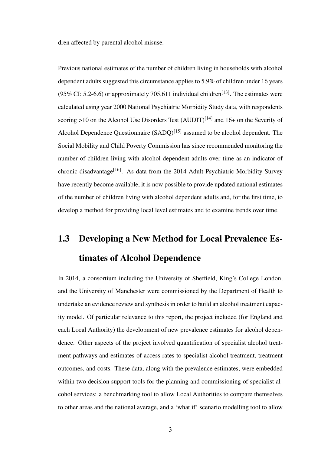dren affected by parental alcohol misuse.

Previous national estimates of the number of children living in households with alcohol dependent adults suggested this circumstance applies to 5.9% of children under 16 years (95% CI: 5.2-6.6) or approximately 705,611 individual children<sup>[13]</sup>. The estimates were calculated using year 2000 National Psychiatric Morbidity Study data, with respondents scoring >10 on the Alcohol Use Disorders Test  $(AUDIT)^{[14]}$  and 16+ on the Severity of Alcohol Dependence Questionnaire  $(SADQ)^{[15]}$  assumed to be alcohol dependent. The Social Mobility and Child Poverty Commission has since recommended monitoring the number of children living with alcohol dependent adults over time as an indicator of chronic disadvantage<sup>[16]</sup>. As data from the 2014 Adult Psychiatric Morbidity Survey have recently become available, it is now possible to provide updated national estimates of the number of children living with alcohol dependent adults and, for the first time, to develop a method for providing local level estimates and to examine trends over time.

# <span id="page-13-0"></span>1.3 Developing a New Method for Local Prevalence Estimates of Alcohol Dependence

In 2014, a consortium including the University of Sheffield, King's College London, and the University of Manchester were commissioned by the Department of Health to undertake an evidence review and synthesis in order to build an alcohol treatment capacity model. Of particular relevance to this report, the project included (for England and each Local Authority) the development of new prevalence estimates for alcohol dependence. Other aspects of the project involved quantification of specialist alcohol treatment pathways and estimates of access rates to specialist alcohol treatment, treatment outcomes, and costs. These data, along with the prevalence estimates, were embedded within two decision support tools for the planning and commissioning of specialist alcohol services: a benchmarking tool to allow Local Authorities to compare themselves to other areas and the national average, and a 'what if' scenario modelling tool to allow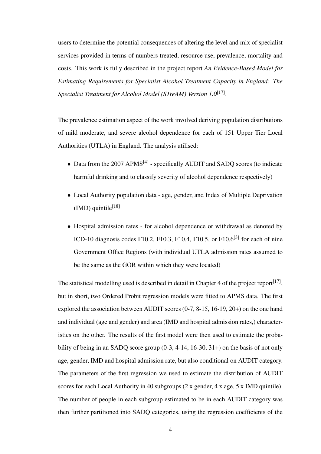users to determine the potential consequences of altering the level and mix of specialist services provided in terms of numbers treated, resource use, prevalence, mortality and costs. This work is fully described in the project report *An Evidence-Based Model for Estimating Requirements for Specialist Alcohol Treatment Capacity in England: The Specialist Treatment for Alcohol Model (STreAM) Version 1.0*[17] .

The prevalence estimation aspect of the work involved deriving population distributions of mild moderate, and severe alcohol dependence for each of 151 Upper Tier Local Authorities (UTLA) in England. The analysis utilised:

- Data from the 2007 APMS<sup>[4]</sup> specifically AUDIT and SADO scores (to indicate harmful drinking and to classify severity of alcohol dependence respectively)
- Local Authority population data age, gender, and Index of Multiple Deprivation  $(MD)$  quintile<sup>[18]</sup>
- Hospital admission rates for alcohol dependence or withdrawal as denoted by ICD-10 diagnosis codes F10.2, F10.3, F10.4, F10.5, or F10.6<sup>[3]</sup> for each of nine Government Office Regions (with individual UTLA admission rates assumed to be the same as the GOR within which they were located)

The statistical modelling used is described in detail in Chapter 4 of the project report  $[17]$ , but in short, two Ordered Probit regression models were fitted to APMS data. The first explored the association between AUDIT scores (0-7, 8-15, 16-19, 20+) on the one hand and individual (age and gender) and area (IMD and hospital admission rates,) characteristics on the other. The results of the first model were then used to estimate the probability of being in an SADQ score group (0-3, 4-14, 16-30, 31+) on the basis of not only age, gender, IMD and hospital admission rate, but also conditional on AUDIT category. The parameters of the first regression we used to estimate the distribution of AUDIT scores for each Local Authority in 40 subgroups (2 x gender, 4 x age, 5 x IMD quintile). The number of people in each subgroup estimated to be in each AUDIT category was then further partitioned into SADQ categories, using the regression coefficients of the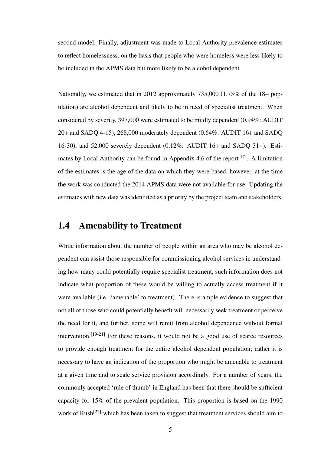second model. Finally, adjustment was made to Local Authority prevalence estimates to reflect homelessness, on the basis that people who were homeless were less likely to be included in the APMS data but more likely to be alcohol dependent.

Nationally, we estimated that in 2012 approximately 735,000 (1.75% of the 18+ population) are alcohol dependent and likely to be in need of specialist treatment. When considered by severity, 397,000 were estimated to be mildly dependent (0.94%: AUDIT 20+ and SADQ 4-15), 268,000 moderately dependent (0.64%: AUDIT 16+ and SADQ 16-30), and 52,000 severely dependent (0.12%: AUDIT 16+ and SADQ 31+). Estimates by Local Authority can be found in Appendix 4.6 of the report<sup>[17]</sup>. A limitation of the estimates is the age of the data on which they were based, however, at the time the work was conducted the 2014 APMS data were not available for use. Updating the estimates with new data was identified as a priority by the project team and stakeholders.

#### <span id="page-15-0"></span>1.4 Amenability to Treatment

While information about the number of people within an area who may be alcohol dependent can assist those responsible for commissioning alcohol services in understanding how many could potentially require specialist treatment, such information does not indicate what proportion of these would be willing to actually access treatment if it were available (i.e. 'amenable' to treatment). There is ample evidence to suggest that not all of those who could potentially benefit will necessarily seek treatment or perceive the need for it, and further, some will remit from alcohol dependence without formal intervention.  $[19-21]$  For these reasons, it would not be a good use of scarce resources to provide enough treatment for the entire alcohol dependent population; rather it is necessary to have an indication of the proportion who might be amenable to treatment at a given time and to scale service provision accordingly. For a number of years, the commonly accepted 'rule of thumb' in England has been that there should be sufficient capacity for 15% of the prevalent population. This proportion is based on the 1990 work of Rush<sup>[22]</sup> which has been taken to suggest that treatment services should aim to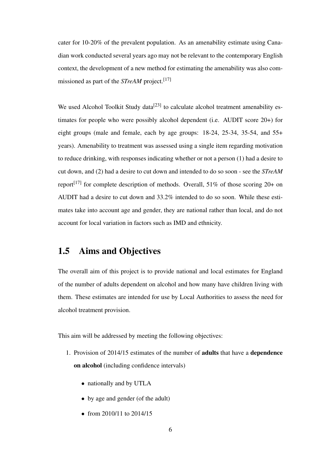cater for 10-20% of the prevalent population. As an amenability estimate using Canadian work conducted several years ago may not be relevant to the contemporary English context, the development of a new method for estimating the amenability was also commissioned as part of the *STreAM* project.[17]

We used Alcohol Toolkit Study data<sup>[23]</sup> to calculate alcohol treatment amenability estimates for people who were possibly alcohol dependent (i.e. AUDIT score 20+) for eight groups (male and female, each by age groups: 18-24, 25-34, 35-54, and 55+ years). Amenability to treatment was assessed using a single item regarding motivation to reduce drinking, with responses indicating whether or not a person (1) had a desire to cut down, and (2) had a desire to cut down and intended to do so soon - see the *STreAM* report<sup>[17]</sup> for complete description of methods. Overall,  $51\%$  of those scoring 20+ on AUDIT had a desire to cut down and 33.2% intended to do so soon. While these estimates take into account age and gender, they are national rather than local, and do not account for local variation in factors such as IMD and ethnicity.

#### <span id="page-16-0"></span>1.5 Aims and Objectives

The overall aim of this project is to provide national and local estimates for England of the number of adults dependent on alcohol and how many have children living with them. These estimates are intended for use by Local Authorities to assess the need for alcohol treatment provision.

This aim will be addressed by meeting the following objectives:

- 1. Provision of 2014/15 estimates of the number of adults that have a dependence on alcohol (including confidence intervals)
	- nationally and by UTLA
	- by age and gender (of the adult)
	- from 2010/11 to 2014/15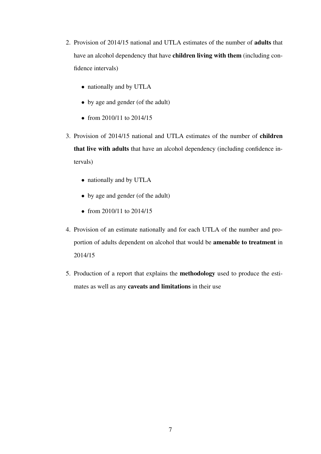- 2. Provision of 2014/15 national and UTLA estimates of the number of adults that have an alcohol dependency that have children living with them (including confidence intervals)
	- nationally and by UTLA
	- by age and gender (of the adult)
	- from 2010/11 to 2014/15
- 3. Provision of 2014/15 national and UTLA estimates of the number of children that live with adults that have an alcohol dependency (including confidence intervals)
	- nationally and by UTLA
	- by age and gender (of the adult)
	- from 2010/11 to 2014/15
- 4. Provision of an estimate nationally and for each UTLA of the number and proportion of adults dependent on alcohol that would be amenable to treatment in 2014/15
- 5. Production of a report that explains the methodology used to produce the estimates as well as any caveats and limitations in their use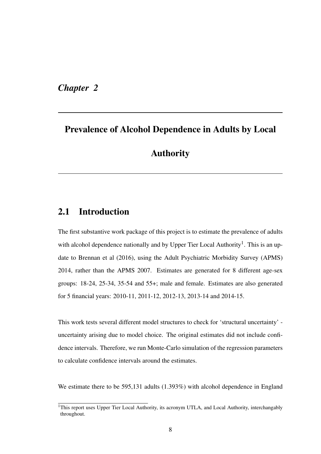<span id="page-18-0"></span>*Chapter 2*

### Prevalence of Alcohol Dependence in Adults by Local

### Authority

#### <span id="page-18-1"></span>2.1 Introduction

The first substantive work package of this project is to estimate the prevalence of adults with alcohol dependence nationally and by Upper Tier Local Authority<sup>[1](#page-18-2)</sup>. This is an update to Brennan et al (2016), using the Adult Psychiatric Morbidity Survey (APMS) 2014, rather than the APMS 2007. Estimates are generated for 8 different age-sex groups: 18-24, 25-34, 35-54 and 55+; male and female. Estimates are also generated for 5 financial years: 2010-11, 2011-12, 2012-13, 2013-14 and 2014-15.

This work tests several different model structures to check for 'structural uncertainty' uncertainty arising due to model choice. The original estimates did not include confidence intervals. Therefore, we run Monte-Carlo simulation of the regression parameters to calculate confidence intervals around the estimates.

We estimate there to be 595,131 adults (1.393%) with alcohol dependence in England

<span id="page-18-2"></span><sup>&</sup>lt;sup>1</sup>This report uses Upper Tier Local Authority, its acronym UTLA, and Local Authority, interchangably throughout.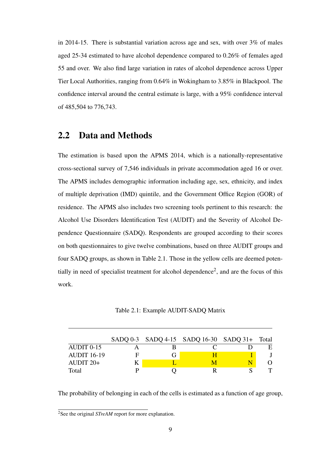in 2014-15. There is substantial variation across age and sex, with over 3% of males aged 25-34 estimated to have alcohol dependence compared to 0.26% of females aged 55 and over. We also find large variation in rates of alcohol dependence across Upper Tier Local Authorities, ranging from 0.64% in Wokingham to 3.85% in Blackpool. The confidence interval around the central estimate is large, with a 95% confidence interval of 485,504 to 776,743.

#### <span id="page-19-0"></span>2.2 Data and Methods

The estimation is based upon the APMS 2014, which is a nationally-representative cross-sectional survey of 7,546 individuals in private accommodation aged 16 or over. The APMS includes demographic information including age, sex, ethnicity, and index of multiple deprivation (IMD) quintile, and the Government Office Region (GOR) of residence. The APMS also includes two screening tools pertinent to this research: the Alcohol Use Disorders Identification Test (AUDIT) and the Severity of Alcohol Dependence Questionnaire (SADQ). Respondents are grouped according to their scores on both questionnaires to give twelve combinations, based on three AUDIT groups and four SADQ groups, as shown in [Table 2.1.](#page-19-1) Those in the yellow cells are deemed poten-tially in need of specialist treatment for alcohol dependence<sup>[2](#page-19-2)</sup>, and are the focus of this work.

Table 2.1: Example AUDIT-SADQ Matrix

<span id="page-19-1"></span>

|                    |   | $SADQ 0-3$ $SADQ 4-15$ $SADQ 16-30$ $SADQ 31+$ Total |  |
|--------------------|---|------------------------------------------------------|--|
| AUDIT 0-15         |   |                                                      |  |
| <b>AUDIT 16-19</b> | F |                                                      |  |
| AUDIT $20+$        |   |                                                      |  |
| Total              |   |                                                      |  |

The probability of belonging in each of the cells is estimated as a function of age group,

<span id="page-19-2"></span><sup>&</sup>lt;sup>2</sup>See the original *STreAM* report for more explanation.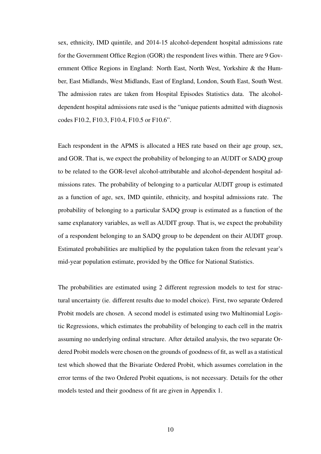sex, ethnicity, IMD quintile, and 2014-15 alcohol-dependent hospital admissions rate for the Government Office Region (GOR) the respondent lives within. There are 9 Government Office Regions in England: North East, North West, Yorkshire & the Humber, East Midlands, West Midlands, East of England, London, South East, South West. The admission rates are taken from Hospital Episodes Statistics data. The alcoholdependent hospital admissions rate used is the "unique patients admitted with diagnosis codes F10.2, F10.3, F10.4, F10.5 or F10.6".

Each respondent in the APMS is allocated a HES rate based on their age group, sex, and GOR. That is, we expect the probability of belonging to an AUDIT or SADQ group to be related to the GOR-level alcohol-attributable and alcohol-dependent hospital admissions rates. The probability of belonging to a particular AUDIT group is estimated as a function of age, sex, IMD quintile, ethnicity, and hospital admissions rate. The probability of belonging to a particular SADQ group is estimated as a function of the same explanatory variables, as well as AUDIT group. That is, we expect the probability of a respondent belonging to an SADQ group to be dependent on their AUDIT group. Estimated probabilities are multiplied by the population taken from the relevant year's mid-year population estimate, provided by the Office for National Statistics.

The probabilities are estimated using 2 different regression models to test for structural uncertainty (ie. different results due to model choice). First, two separate Ordered Probit models are chosen. A second model is estimated using two Multinomial Logistic Regressions, which estimates the probability of belonging to each cell in the matrix assuming no underlying ordinal structure. After detailed analysis, the two separate Ordered Probit models were chosen on the grounds of goodness of fit, as well as a statistical test which showed that the Bivariate Ordered Probit, which assumes correlation in the error terms of the two Ordered Probit equations, is not necessary. Details for the other models tested and their goodness of fit are given in Appendix 1.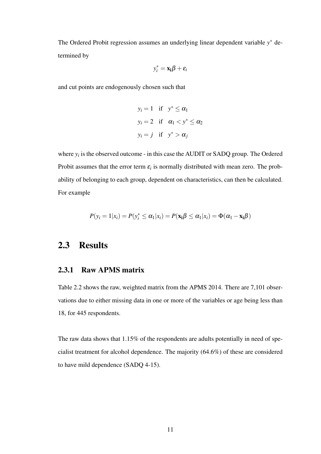The Ordered Probit regression assumes an underlying linear dependent variable *y* <sup>∗</sup> determined by

$$
y_i^* = \mathbf{x_i} \boldsymbol{\beta} + \boldsymbol{\varepsilon}_i
$$

and cut points are endogenously chosen such that

$$
y_i = 1 \quad \text{if} \quad y^* \le \alpha_1
$$
  

$$
y_i = 2 \quad \text{if} \quad \alpha_1 < y^* \le \alpha_2
$$
  

$$
y_i = j \quad \text{if} \quad y^* > \alpha_j
$$

where  $y_i$  is the observed outcome - in this case the AUDIT or SADQ group. The Ordered Probit assumes that the error term  $\varepsilon_i$  is normally distributed with mean zero. The probability of belonging to each group, dependent on characteristics, can then be calculated. For example

$$
P(y_i = 1 | x_i) = P(y_i^* \leq \alpha_1 | x_i) = P(\mathbf{x_i} \beta \leq \alpha_1 | x_i) = \Phi(\alpha_1 - \mathbf{x_i} \beta)
$$

#### <span id="page-21-0"></span>2.3 Results

#### <span id="page-21-1"></span>2.3.1 Raw APMS matrix

[Table 2.2](#page-22-1) shows the raw, weighted matrix from the APMS 2014. There are 7,101 observations due to either missing data in one or more of the variables or age being less than 18, for 445 respondents.

The raw data shows that 1.15% of the respondents are adults potentially in need of specialist treatment for alcohol dependence. The majority (64.6%) of these are considered to have mild dependence (SADQ 4-15).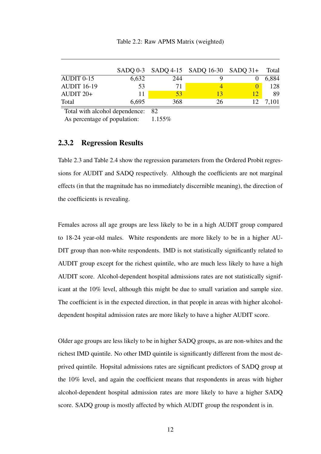<span id="page-22-1"></span>

|                    |       |     | $SADQ 0-3$ $SADQ 4-15$ $SADQ 16-30$ $SADQ 31+$ |              | Total |
|--------------------|-------|-----|------------------------------------------------|--------------|-------|
| $AUDIT 0-15$       | 6,632 | 244 |                                                |              | 6,884 |
| <b>AUDIT 16-19</b> | 53    | 71  |                                                |              | 128   |
| AUDIT $20+$        |       | 53  | 13                                             |              | 89    |
| Total              | 6,695 | 368 | 26                                             | $12^{\circ}$ | 7.101 |

Total with alcohol dependence: 82

As percentage of population: 1.155%

#### <span id="page-22-0"></span>2.3.2 Regression Results

[Table 2.3](#page-23-0) and [Table 2.4](#page-24-0) show the regression parameters from the Ordered Probit regressions for AUDIT and SADQ respectively. Although the coefficients are not marginal effects (in that the magnitude has no immediately discernible meaning), the direction of the coefficients is revealing.

Females across all age groups are less likely to be in a high AUDIT group compared to 18-24 year-old males. White respondents are more likely to be in a higher AU-DIT group than non-white respondents. IMD is not statistically significantly related to AUDIT group except for the richest quintile, who are much less likely to have a high AUDIT score. Alcohol-dependent hospital admissions rates are not statistically significant at the 10% level, although this might be due to small variation and sample size. The coefficient is in the expected direction, in that people in areas with higher alcoholdependent hospital admission rates are more likely to have a higher AUDIT score.

Older age groups are less likely to be in higher SADQ groups, as are non-whites and the richest IMD quintile. No other IMD quintile is significantly different from the most deprived quintile. Hopsital admissions rates are significant predictors of SADQ group at the 10% level, and again the coefficient means that respondents in areas with higher alcohol-dependent hospital admission rates are more likely to have a higher SADQ score. SADQ group is mostly affected by which AUDIT group the respondent is in.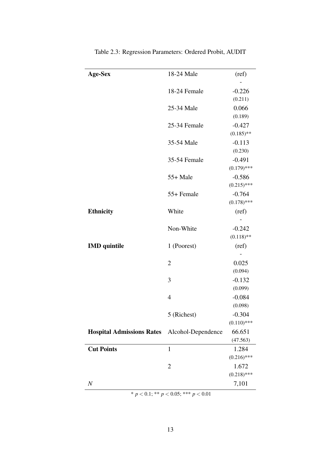<span id="page-23-0"></span>

| <b>Age-Sex</b>                   | 18-24 Male         | (ref)         |
|----------------------------------|--------------------|---------------|
|                                  |                    |               |
|                                  | 18-24 Female       | $-0.226$      |
|                                  |                    | (0.211)       |
|                                  | 25-34 Male         | 0.066         |
|                                  |                    | (0.189)       |
|                                  | 25-34 Female       | $-0.427$      |
|                                  |                    | $(0.185)$ **  |
|                                  | 35-54 Male         | $-0.113$      |
|                                  |                    | (0.230)       |
|                                  | 35-54 Female       | $-0.491$      |
|                                  |                    | $(0.179)$ *** |
|                                  | $55+$ Male         | $-0.586$      |
|                                  |                    | $(0.215)$ *** |
|                                  | 55+ Female         | $-0.764$      |
|                                  |                    | $(0.178)$ *** |
| <b>Ethnicity</b>                 | White              | (ref)         |
|                                  |                    |               |
|                                  | Non-White          | $-0.242$      |
|                                  |                    | $(0.118)$ **  |
| <b>IMD</b> quintile              | 1 (Poorest)        | (ref)         |
|                                  |                    |               |
|                                  | $\overline{2}$     | 0.025         |
|                                  |                    | (0.094)       |
|                                  | 3                  | $-0.132$      |
|                                  |                    | (0.099)       |
|                                  | $\overline{4}$     | $-0.084$      |
|                                  |                    | (0.098)       |
|                                  | 5 (Richest)        | $-0.304$      |
|                                  |                    | $(0.110)$ *** |
| <b>Hospital Admissions Rates</b> | Alcohol-Dependence | 66.651        |
|                                  |                    | (47.563)      |
| <b>Cut Points</b>                | $\mathbf{1}$       | 1.284         |
|                                  |                    | $(0.216)$ *** |
|                                  | $\overline{2}$     | 1.672         |
|                                  |                    | $(0.218)$ *** |
| $\,N$                            |                    | 7,101         |

Table 2.3: Regression Parameters: Ordered Probit, AUDIT

\* *p* < 0.1; \*\* *p* < 0.05; \*\*\* *p* < 0.01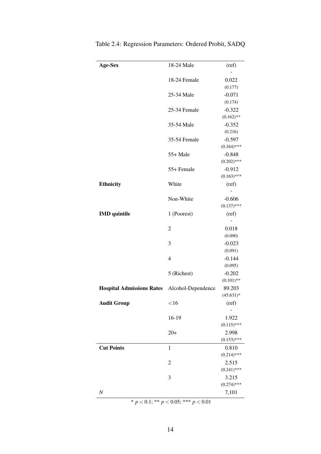| Age-Sex                                      | 18-24 Male     | (ref)                     |
|----------------------------------------------|----------------|---------------------------|
|                                              |                |                           |
|                                              | 18-24 Female   | 0.022<br>(0.177)          |
|                                              | 25-34 Male     | $-0.071$                  |
|                                              |                | (0.174)                   |
|                                              | 25-34 Female   | $-0.322$                  |
|                                              |                | $(0.162)$ **              |
|                                              | 35-54 Male     | $-0.352$                  |
|                                              |                | (0.216)                   |
|                                              | 35-54 Female   | $-0.597$                  |
|                                              |                | $(0.164)$ ***             |
|                                              | 55+ Male       | $-0.848$<br>$(0.202)$ *** |
|                                              | 55+ Female     | $-0.912$                  |
|                                              |                | $(0.163)$ ***             |
| <b>Ethnicity</b>                             | White          | (ref)                     |
|                                              |                |                           |
|                                              | Non-White      | $-0.606$                  |
|                                              |                | $(0.137)$ ***             |
| <b>IMD</b> quintile                          | 1 (Poorest)    | (ref)                     |
|                                              |                |                           |
|                                              | $\overline{c}$ | 0.018                     |
|                                              |                | (0.090)                   |
|                                              | 3              | $-0.023$<br>(0.091)       |
|                                              | $\overline{4}$ | $-0.144$                  |
|                                              |                | (0.095)                   |
|                                              | 5 (Richest)    | $-0.202$                  |
|                                              |                | $(0.101)$ **              |
| Hospital Admissions Rates Alcohol-Dependence |                | 89.203                    |
|                                              |                | $(45.631)*$               |
| <b>Audit Group</b>                           | <16            | (ref)                     |
|                                              |                |                           |
|                                              | 16-19          | 1.922                     |
|                                              |                | $(0.115)$ ***             |
|                                              | $20+$          | 2.998<br>$(0.153)$ ***    |
| <b>Cut Points</b>                            | $\mathbf{1}$   | 0.810                     |
|                                              |                | $(0.214)$ ***             |
|                                              | $\overline{2}$ | 2.515                     |
|                                              |                | $(0.241)$ ***             |
|                                              | 3              | 3.215                     |
|                                              |                |                           |
|                                              |                | $(0.274)$ ***             |

<span id="page-24-0"></span>Table 2.4: Regression Parameters: Ordered Probit, SADQ

\* *p* < 0.1; \*\* *p* < 0.05; \*\*\* *p* < 0.01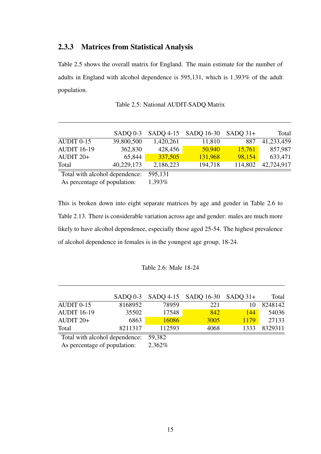#### <span id="page-25-0"></span>2.3.3 Matrices from Statistical Analysis

[Table 2.5](#page-25-1) shows the overall matrix for England. The main estimate for the number of adults in England with alcohol dependence is 595,131, which is 1.393% of the adult population.

<span id="page-25-1"></span>

|                                | $SADO 0-3$ |           | SADQ 4-15 SADQ 16-30 | $SADO 31+$ | Total      |
|--------------------------------|------------|-----------|----------------------|------------|------------|
| AUDIT 0-15                     | 39,800,500 | 1,420,261 | 11,810               | 887        | 41,233,459 |
| <b>AUDIT 16-19</b>             | 362,830    | 428,456   | 50,940               | 15,761     | 857,987    |
| AUDIT $20+$                    | 65,844     | 337,505   | 131,968              | 98,154     | 633,471    |
| Total                          | 40,229,173 | 2,186,223 | 194,718              | 114,802    | 42,724,917 |
| Total with alcohol dependence: |            | 595,131   |                      |            |            |
| As percentage of population:   |            | 1.393%    |                      |            |            |

Table 2.5: National AUDIT-SADQ Matrix

This is broken down into eight separate matrices by age and gender in [Table 2.6](#page-25-2) to [Table 2.13.](#page-28-1) There is considerable variation across age and gender: males are much more likely to have alcohol dependence, especially those aged 25-54. The highest prevalence of alcohol dependence in females is in the youngest age group, 18-24.

#### Table 2.6: Male 18-24

<span id="page-25-2"></span>

|                                       |         |        | SADQ 0-3 SADQ 4-15 SADQ 16-30 SADQ 31+ |      | Total   |
|---------------------------------------|---------|--------|----------------------------------------|------|---------|
| AUDIT 0-15                            | 8168952 | 78959  | 221                                    |      | 8248142 |
| <b>AUDIT 16-19</b>                    | 35502   | 17548  | 842                                    | 144  | 54036   |
| AUDIT $20+$                           | 6863    | 16086  | 3005                                   | 1179 | 27133   |
| Total                                 | 8211317 | 112593 | 4068                                   | 1333 | 8329311 |
| Total with alcohol dependence: 59,382 |         |        |                                        |      |         |

As percentage of population: 2.362%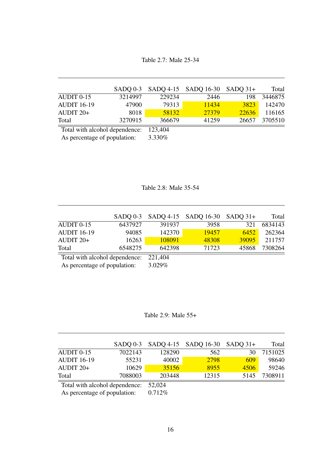Table 2.7: Male 25-34

|                                |         |         | SADQ 0-3 SADQ 4-15 SADQ 16-30 SADQ 31+ |       | Total   |
|--------------------------------|---------|---------|----------------------------------------|-------|---------|
| AUDIT 0-15                     | 3214997 | 229234  | 2446                                   | 198   | 3446875 |
| <b>AUDIT 16-19</b>             | 47900   | 79313   | 11434                                  | 3823  | 142470  |
| AUDIT $20+$                    | 8018    | 58132   | 27379                                  | 22636 | 116165  |
| Total                          | 3270915 | 366679  | 41259                                  | 26657 | 3705510 |
| Total with alcohol dependence: |         | 123,404 |                                        |       |         |

As percentage of population: 3.330%

Table 2.8: Male 35-54

|                                | $SADO 0-3$ |         | SADQ 4-15 SADQ 16-30 SADQ 31+ |       | Total   |
|--------------------------------|------------|---------|-------------------------------|-------|---------|
| AUDIT 0-15                     | 6437927    | 391937  | 3958                          | 321   | 6834143 |
| <b>AUDIT 16-19</b>             | 94085      | 142370  | 19457                         | 6452  | 262364  |
| AUDIT $20+$                    | 16263      | 108091  | 48308                         | 39095 | 211757  |
| Total                          | 6548275    | 642398  | 71723                         | 45868 | 7308264 |
| Total with alcohol dependence: |            | 221,404 |                               |       |         |
| As percentage of population:   |            | 3.029%  |                               |       |         |

Table 2.9: Male 55+

|                                | $SADO 0-3$ |        | $SADQ$ 4-15 $SADQ$ 16-30 $SADQ$ 31+ |      | Total   |
|--------------------------------|------------|--------|-------------------------------------|------|---------|
| AUDIT 0-15                     | 7022143    | 128290 | 562                                 | 30   | 7151025 |
| <b>AUDIT 16-19</b>             | 55231      | 40002  | 2798                                | 609  | 98640   |
| AUDIT $20+$                    | 10629      | 35156  | 8955                                | 4506 | 59246   |
| Total                          | 7088003    | 203448 | 12315                               | 5145 | 7308911 |
| Total with alcohol dependence: |            | 52,024 |                                     |      |         |

As percentage of population: 0.712%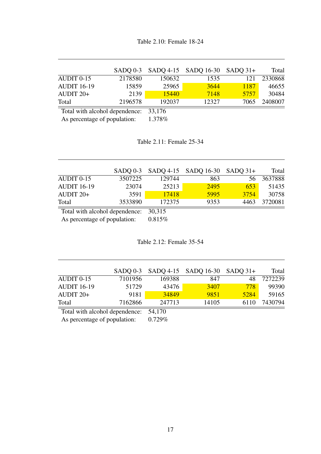|                                       |         |        | $SADQ 0-3$ $SADQ 4-15$ $SADQ 16-30$ $SADQ 31+$ |      | Total   |
|---------------------------------------|---------|--------|------------------------------------------------|------|---------|
| $AUDIT 0-15$                          | 2178580 | 150632 | 1535                                           | 121  | 2330868 |
| <b>AUDIT 16-19</b>                    | 15859   | 25965  | 3644                                           | 1187 | 46655   |
| AUDIT $20+$                           | 2139    | 15440  | 7148                                           | 5757 | 30484   |
| Total                                 | 2196578 | 192037 | 12327                                          | 7065 | 2408007 |
| Total with alcohol dependence: 33,176 |         |        |                                                |      |         |

As percentage of population: 1.378%

Table 2.11: Female 25-34

|                                |         |        | $SADQ 0-3$ $SADQ 4-15$ $SADQ 16-30$ $SADQ 31+$ |      | Total   |
|--------------------------------|---------|--------|------------------------------------------------|------|---------|
| AUDIT 0-15                     | 3507225 | 129744 | 863                                            | 56 - | 3637888 |
| <b>AUDIT 16-19</b>             | 23074   | 25213  | 2495                                           | 653  | 51435   |
| AUDIT $20+$                    | 3591    | 17418  | 5995                                           | 3754 | 30758   |
| Total                          | 3533890 | 172375 | 9353                                           | 4463 | 3720081 |
| Total with alcohol dependence: |         | 30,315 |                                                |      |         |

As percentage of population: 0.815%

Table 2.12: Female 35-54

|         |        |       |      | Total                                          |
|---------|--------|-------|------|------------------------------------------------|
| 7101956 | 169388 | 847   | 48.  | 7272239                                        |
| 51729   | 43476  | 3407  | 778  | 99390                                          |
| 9181    | 34849  | 9851  | 5284 | 59165                                          |
| 7162866 | 247713 | 14105 | 6110 | 7430794                                        |
|         |        |       |      | $SADQ 0-3$ $SADQ 4-15$ $SADQ 16-30$ $SADQ 31+$ |

Total with alcohol dependence: 54,170<br>As percentage of population: 0.729%

As percentage of population: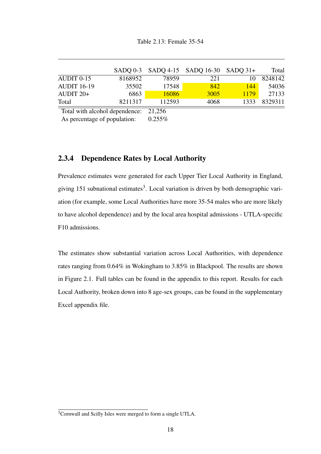<span id="page-28-1"></span>

|                                       |         |        | SADQ 0-3 SADQ 4-15 SADQ 16-30 SADQ 31+ |      | Total   |
|---------------------------------------|---------|--------|----------------------------------------|------|---------|
| AUDIT 0-15                            | 8168952 | 78959  | 221                                    | 10   | 8248142 |
| <b>AUDIT 16-19</b>                    | 35502   | 17548  | 842                                    | 144  | 54036   |
| AUDIT $20+$                           | 6863    | 16086  | 3005                                   | 1179 | 27133   |
| Total                                 | 8211317 | 112593 | 4068                                   | 1333 | 8329311 |
| Total with alcohol dependence: 21,256 |         |        |                                        |      |         |

As percentage of population:  $0.255\%$ 

#### <span id="page-28-0"></span>2.3.4 Dependence Rates by Local Authority

Prevalence estimates were generated for each Upper Tier Local Authority in England, giving 151 subnational estimates<sup>[3](#page-28-2)</sup>. Local variation is driven by both demographic variation (for example, some Local Authorities have more 35-54 males who are more likely to have alcohol dependence) and by the local area hospital admissions - UTLA-specific F10 admissions.

The estimates show substantial variation across Local Authorities, with dependence rates ranging from 0.64% in Wokingham to 3.85% in Blackpool. The results are shown in [Figure 2.1.](#page-29-0) Full tables can be found in the appendix to this report. Results for each Local Authority, broken down into 8 age-sex groups, can be found in the supplementary Excel appendix file.

<span id="page-28-2"></span><sup>&</sup>lt;sup>3</sup>Cornwall and Scilly Isles were merged to form a single UTLA.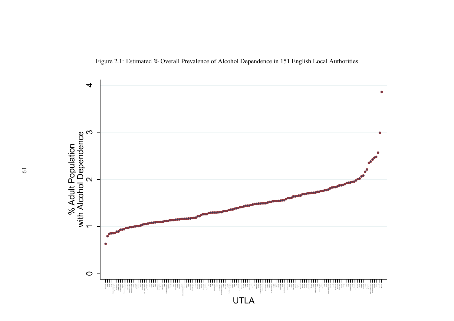<span id="page-29-0"></span>

Figure 2.1: Estimated % Overall Prevalence of Alcohol Dependence in 151 English Local Authorities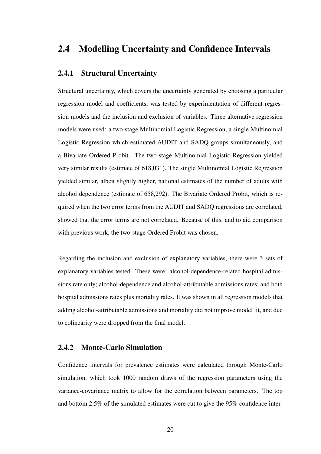#### <span id="page-30-0"></span>2.4 Modelling Uncertainty and Confidence Intervals

#### <span id="page-30-1"></span>2.4.1 Structural Uncertainty

Structural uncertainty, which covers the uncertainty generated by choosing a particular regression model and coefficients, was tested by experimentation of different regression models and the inclusion and exclusion of variables. Three alternative regression models were used: a two-stage Multinomial Logistic Regression, a single Multinomial Logistic Regression which estimated AUDIT and SADQ groups simultaneously, and a Bivariate Ordered Probit. The two-stage Multinomial Logistic Regression yielded very similar results (estimate of 618,031). The single Multinomial Logistic Regression yielded similar, albeit slightly higher, national estimates of the number of adults with alcohol dependence (estimate of 658,292). The Bivariate Ordered Probit, which is required when the two error terms from the AUDIT and SADQ regressions are correlated, showed that the error terms are not correlated. Because of this, and to aid comparison with previous work, the two-stage Ordered Probit was chosen.

Regarding the inclusion and exclusion of explanatory variables, there were 3 sets of explanatory variables tested. These were: alcohol-dependence-related hospital admissions rate only; alcohol-dependence and alcohol-attributable admissions rates; and both hospital admissions rates plus mortality rates. It was shown in all regression models that adding alcohol-attributable admissions and mortality did not improve model fit, and due to colinearity were dropped from the final model.

#### <span id="page-30-2"></span>2.4.2 Monte-Carlo Simulation

Confidence intervals for prevalence estimates were calculated through Monte-Carlo simulation, which took 1000 random draws of the regression parameters using the variance-covariance matrix to allow for the correlation between parameters. The top and bottom 2.5% of the simulated estimates were cut to give the 95% confidence inter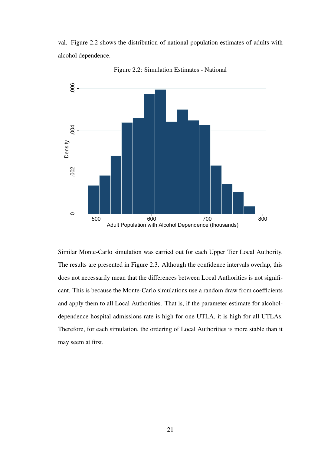val. [Figure 2.2](#page-31-0) shows the distribution of national population estimates of adults with alcohol dependence.

<span id="page-31-0"></span>

Figure 2.2: Simulation Estimates - National

Similar Monte-Carlo simulation was carried out for each Upper Tier Local Authority. The results are presented in [Figure 2.3.](#page-32-0) Although the confidence intervals overlap, this does not necessarily mean that the differences between Local Authorities is not significant. This is because the Monte-Carlo simulations use a random draw from coefficients and apply them to all Local Authorities. That is, if the parameter estimate for alcoholdependence hospital admissions rate is high for one UTLA, it is high for all UTLAs. Therefore, for each simulation, the ordering of Local Authorities is more stable than it may seem at first.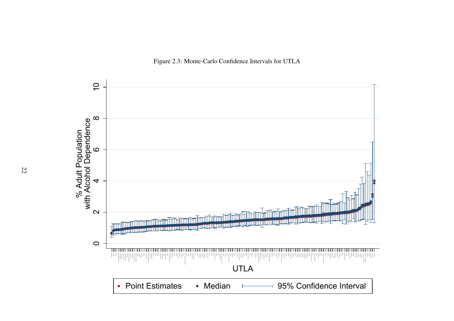<span id="page-32-0"></span>

Figure 2.3: Monte-Carlo Confidence Intervals for UTLA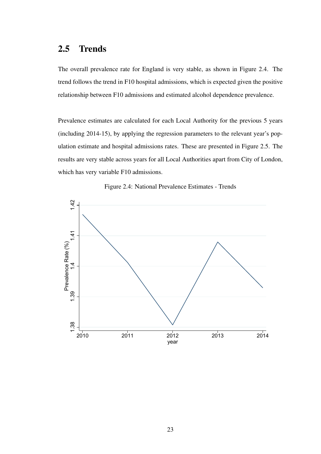#### <span id="page-33-0"></span>2.5 Trends

The overall prevalence rate for England is very stable, as shown in [Figure 2.4.](#page-33-1) The trend follows the trend in F10 hospital admissions, which is expected given the positive relationship between F10 admissions and estimated alcohol dependence prevalence.

Prevalence estimates are calculated for each Local Authority for the previous 5 years (including 2014-15), by applying the regression parameters to the relevant year's population estimate and hospital admissions rates. These are presented in [Figure 2.5.](#page-34-1) The results are very stable across years for all Local Authorities apart from City of London, which has very variable F10 admissions.

<span id="page-33-1"></span>

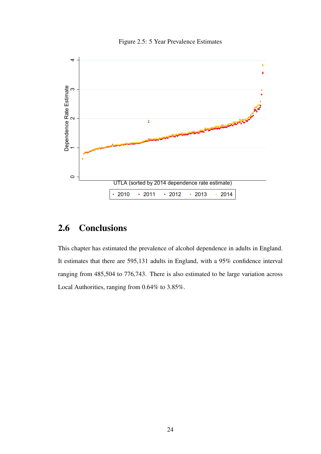

<span id="page-34-1"></span>

## <span id="page-34-0"></span>2.6 Conclusions

This chapter has estimated the prevalence of alcohol dependence in adults in England. It estimates that there are 595,131 adults in England, with a 95% confidence interval ranging from 485,504 to 776,743. There is also estimated to be large variation across Local Authorities, ranging from 0.64% to 3.85%.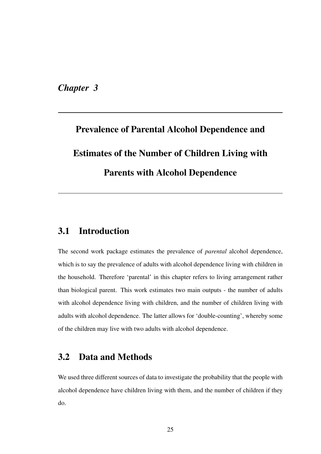<span id="page-35-0"></span>*Chapter 3*

# Prevalence of Parental Alcohol Dependence and Estimates of the Number of Children Living with Parents with Alcohol Dependence

#### <span id="page-35-1"></span>3.1 Introduction

The second work package estimates the prevalence of *parental* alcohol dependence, which is to say the prevalence of adults with alcohol dependence living with children in the household. Therefore 'parental' in this chapter refers to living arrangement rather than biological parent. This work estimates two main outputs - the number of adults with alcohol dependence living with children, and the number of children living with adults with alcohol dependence. The latter allows for 'double-counting', whereby some of the children may live with two adults with alcohol dependence.

#### <span id="page-35-2"></span>3.2 Data and Methods

We used three different sources of data to investigate the probability that the people with alcohol dependence have children living with them, and the number of children if they do.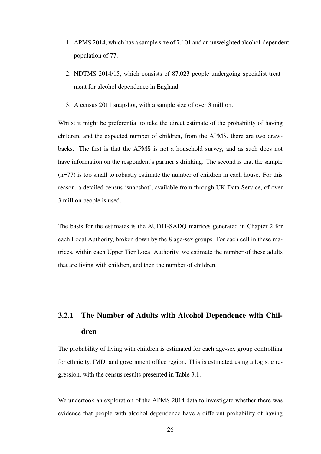- 1. APMS 2014, which has a sample size of 7,101 and an unweighted alcohol-dependent population of 77.
- 2. NDTMS 2014/15, which consists of 87,023 people undergoing specialist treatment for alcohol dependence in England.
- 3. A census 2011 snapshot, with a sample size of over 3 million.

Whilst it might be preferential to take the direct estimate of the probability of having children, and the expected number of children, from the APMS, there are two drawbacks. The first is that the APMS is not a household survey, and as such does not have information on the respondent's partner's drinking. The second is that the sample (n=77) is too small to robustly estimate the number of children in each house. For this reason, a detailed census 'snapshot', available from through UK Data Service, of over 3 million people is used.

The basis for the estimates is the AUDIT-SADQ matrices generated in Chapter 2 for each Local Authority, broken down by the 8 age-sex groups. For each cell in these matrices, within each Upper Tier Local Authority, we estimate the number of these adults that are living with children, and then the number of children.

# <span id="page-36-0"></span>3.2.1 The Number of Adults with Alcohol Dependence with Children

The probability of living with children is estimated for each age-sex group controlling for ethnicity, IMD, and government office region. This is estimated using a logistic regression, with the census results presented in [Table 3.1.](#page-39-0)

We undertook an exploration of the APMS 2014 data to investigate whether there was evidence that people with alcohol dependence have a different probability of having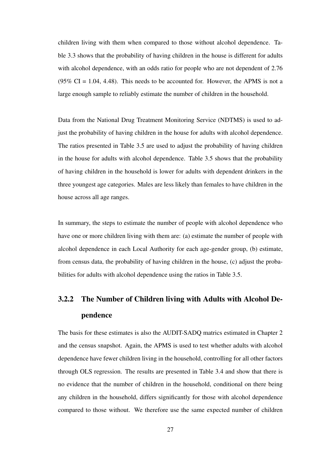children living with them when compared to those without alcohol dependence. [Ta](#page-41-0)[ble 3.3](#page-41-0) shows that the probability of having children in the house is different for adults with alcohol dependence, with an odds ratio for people who are not dependent of 2.76 (95% CI = 1.04, 4.48). This needs to be accounted for. However, the APMS is not a large enough sample to reliably estimate the number of children in the household.

Data from the National Drug Treatment Monitoring Service (NDTMS) is used to adjust the probability of having children in the house for adults with alcohol dependence. The ratios presented in [Table 3.5](#page-43-0) are used to adjust the probability of having children in the house for adults with alcohol dependence. [Table 3.5](#page-43-0) shows that the probability of having children in the household is lower for adults with dependent drinkers in the three youngest age categories. Males are less likely than females to have children in the house across all age ranges.

In summary, the steps to estimate the number of people with alcohol dependence who have one or more children living with them are: (a) estimate the number of people with alcohol dependence in each Local Authority for each age-gender group, (b) estimate, from census data, the probability of having children in the house, (c) adjust the probabilities for adults with alcohol dependence using the ratios in [Table 3.5.](#page-43-0)

# <span id="page-37-0"></span>3.2.2 The Number of Children living with Adults with Alcohol Dependence

The basis for these estimates is also the AUDIT-SADQ matrics estimated in Chapter 2 and the census snapshot. Again, the APMS is used to test whether adults with alcohol dependence have fewer children living in the household, controlling for all other factors through OLS regression. The results are presented in [Table 3.4](#page-42-0) and show that there is no evidence that the number of children in the household, conditional on there being any children in the household, differs significantly for those with alcohol dependence compared to those without. We therefore use the same expected number of children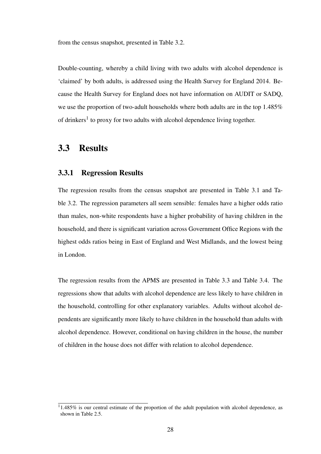from the census snapshot, presented in [Table 3.2.](#page-40-0)

Double-counting, whereby a child living with two adults with alcohol dependence is 'claimed' by both adults, is addressed using the Health Survey for England 2014. Because the Health Survey for England does not have information on AUDIT or SADQ, we use the proportion of two-adult households where both adults are in the top 1.485% of drinkers<sup>[1](#page-38-2)</sup> to proxy for two adults with alcohol dependence living together.

#### <span id="page-38-0"></span>3.3 Results

#### <span id="page-38-1"></span>3.3.1 Regression Results

The regression results from the census snapshot are presented in [Table 3.1](#page-39-0) and [Ta](#page-40-0)[ble 3.2.](#page-40-0) The regression parameters all seem sensible: females have a higher odds ratio than males, non-white respondents have a higher probability of having children in the household, and there is significant variation across Government Office Regions with the highest odds ratios being in East of England and West Midlands, and the lowest being in London.

The regression results from the APMS are presented in [Table 3.3](#page-41-0) and [Table 3.4.](#page-42-0) The regressions show that adults with alcohol dependence are less likely to have children in the household, controlling for other explanatory variables. Adults without alcohol dependents are significantly more likely to have children in the household than adults with alcohol dependence. However, conditional on having children in the house, the number of children in the house does not differ with relation to alcohol dependence.

<span id="page-38-2"></span> $11.485\%$  is our central estimate of the proportion of the adult population with alcohol dependence, as shown in [Table 2.5.](#page-25-1)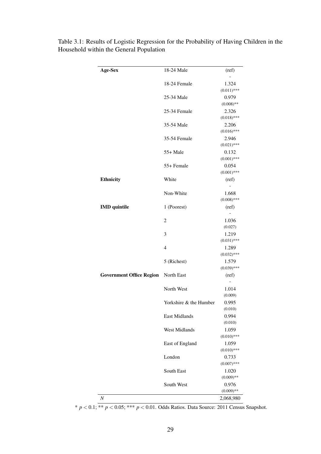| Age-Sex                         | 18-24 Male             | (ref)                  |
|---------------------------------|------------------------|------------------------|
|                                 |                        |                        |
|                                 | 18-24 Female           | 1.324<br>$(0.011)$ *** |
|                                 | 25-34 Male             | 0.979                  |
|                                 |                        | $(0.008)$ **           |
|                                 | 25-34 Female           | 2.326                  |
|                                 |                        | $(0.018)$ ***          |
|                                 | 35-54 Male             | 2.206                  |
|                                 |                        | $(0.016)$ ***          |
|                                 | 35-54 Female           | 2.946                  |
|                                 |                        | $(0.021)$ ***<br>0.132 |
|                                 | 55+ Male               | $(0.001)$ ***          |
|                                 | 55+ Female             | 0.054                  |
|                                 |                        | $(0.001)$ ***          |
| <b>Ethnicity</b>                | White                  | (ref)                  |
|                                 |                        |                        |
|                                 | Non-White              | 1.668                  |
|                                 |                        | $(0.008)$ ***          |
| <b>IMD</b> quintile             | 1 (Poorest)            | (ref)                  |
|                                 |                        |                        |
|                                 | $\overline{2}$         | 1.036                  |
|                                 | 3                      | (0.027)<br>1.219       |
|                                 |                        | $(0.031)$ ***          |
|                                 | $\overline{4}$         | 1.289                  |
|                                 |                        | $(0.032)$ ***          |
|                                 | 5 (Richest)            | 1.579                  |
|                                 |                        | $(0.039)$ ***          |
| <b>Government Office Region</b> | North East             | (ref)                  |
|                                 |                        |                        |
|                                 | North West             | 1.014<br>(0.009)       |
|                                 | Yorkshire & the Humber | 0.995                  |
|                                 |                        | (0.010)                |
|                                 | East Midlands          | 0.994                  |
|                                 |                        | (0.010)                |
|                                 | West Midlands          | 1.059                  |
|                                 |                        | $(0.010)$ ***          |
|                                 | East of England        | 1.059                  |
|                                 |                        | $(0.010)$ ***          |
|                                 | London                 | 0.733                  |
|                                 |                        | $(0.007)$ ***          |
|                                 | South East             | 1.020<br>$(0.009)$ **  |
|                                 | South West             | 0.976                  |
|                                 |                        | $(0.009)$ **           |
| $\cal N$                        |                        | 2,068,980              |
|                                 |                        |                        |

<span id="page-39-0"></span>Table 3.1: Results of Logistic Regression for the Probability of Having Children in the Household within the General Population

\* *p* < 0.1; \*\* *p* < 0.05; \*\*\* *p* < 0.01. Odds Ratios. Data Source: 2011 Census Snapshot.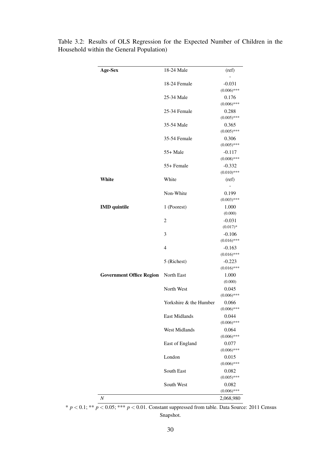| Age-Sex                         | 18-24 Male             | (ref)                     |
|---------------------------------|------------------------|---------------------------|
|                                 |                        |                           |
|                                 | 18-24 Female           | $-0.031$                  |
|                                 |                        | $(0.006)$ ***             |
|                                 | 25-34 Male             | 0.176                     |
|                                 |                        | $(0.006)$ ***             |
|                                 | 25-34 Female           | 0.288<br>$(0.005)$ ***    |
|                                 | 35-54 Male             | 0.365                     |
|                                 |                        | $(0.005)$ ***             |
|                                 | 35-54 Female           | 0.306                     |
|                                 |                        | $(0.005)$ ***             |
|                                 | 55+ Male               | $-0.117$<br>$(0.008)$ *** |
|                                 | 55+ Female             | $-0.332$                  |
|                                 |                        | $(0.010)$ ***             |
| White                           | White                  | (ref)                     |
|                                 |                        |                           |
|                                 | Non-White              | 0.199                     |
|                                 |                        | $(0.003)$ ***             |
| <b>IMD</b> quintile             | 1 (Poorest)            | 1.000<br>(0.000)          |
|                                 | $\overline{2}$         | $-0.031$                  |
|                                 |                        | $(0.017)*$                |
|                                 | 3                      | $-0.106$                  |
|                                 |                        | $(0.016)$ ***             |
|                                 | 4                      | $-0.163$                  |
|                                 |                        | $(0.016)$ ***             |
|                                 | 5 (Richest)            | $-0.223$<br>$(0.016)$ *** |
| <b>Government Office Region</b> | North East             | 1.000                     |
|                                 |                        | (0.000)                   |
|                                 | North West             | 0.045                     |
|                                 |                        | $(0.006)$ ***             |
|                                 | Yorkshire & the Humber | 0.066                     |
|                                 | <b>East Midlands</b>   | $(0.006)$ ***<br>0.044    |
|                                 |                        | $(0.006)$ ***             |
|                                 | <b>West Midlands</b>   | 0.064                     |
|                                 |                        | $(0.006)$ ***             |
|                                 | East of England        | 0.077                     |
|                                 |                        | $(0.006)$ ***             |
|                                 | London                 | 0.015                     |
|                                 | South East             | $(0.006)$ ***<br>0.082    |
|                                 |                        | $(0.005)$ ***             |
|                                 | South West             | 0.082                     |
|                                 |                        | $(0.006)$ ***             |
| N                               |                        | 2,068,980                 |

<span id="page-40-0"></span>Table 3.2: Results of OLS Regression for the Expected Number of Children in the Household within the General Population)

\* *p* < 0.1; \*\* *p* < 0.05; \*\*\* *p* < 0.01. Constant suppressed from table. Data Source: 2011 Census Snapshot.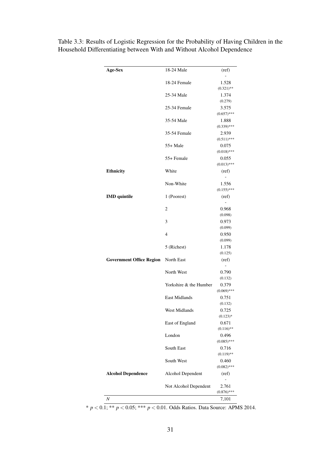| Age-Sex                         | 18-24 Male             | (ref)                          |
|---------------------------------|------------------------|--------------------------------|
|                                 |                        |                                |
|                                 | 18-24 Female           | 1.528                          |
|                                 |                        | $(0.321)$ **                   |
|                                 | 25-34 Male             | 1.374                          |
|                                 |                        | (0.279)                        |
|                                 | 25-34 Female           | 3.575<br>$(0.657)$ ***         |
|                                 | 35-54 Male             | 1.888                          |
|                                 |                        | $(0.339)$ ***                  |
|                                 | 35-54 Female           | 2.939                          |
|                                 |                        | $(0.511)$ ***                  |
|                                 | $55+$ Male             | 0.075                          |
|                                 |                        | $(0.018)$ ***                  |
|                                 | 55+ Female             | 0.055                          |
|                                 |                        | $(0.013)$ ***                  |
| Ethnicity                       | White                  | (ref)                          |
|                                 |                        |                                |
|                                 | Non-White              | 1.556                          |
|                                 |                        | $(0.155)$ ***                  |
| <b>IMD</b> quintile             | 1 (Poorest)            | (ref)                          |
|                                 |                        |                                |
|                                 | 2                      | 0.968                          |
|                                 |                        | (0.098)                        |
|                                 | 3                      | 0.973                          |
|                                 |                        | (0.099)                        |
|                                 | 4                      | 0.950                          |
|                                 |                        | (0.099)                        |
|                                 | 5 (Richest)            | 1.178                          |
|                                 |                        | (0.125)                        |
| <b>Government Office Region</b> | North East             | (ref)                          |
|                                 |                        | $\frac{1}{2}$                  |
|                                 | North West             | 0.790                          |
|                                 |                        | (0.132)                        |
|                                 | Yorkshire & the Humber | 0.379                          |
|                                 |                        | $(0.069)$ ***                  |
|                                 | <b>East Midlands</b>   | 0.751                          |
|                                 |                        | (0.132)                        |
|                                 | West Midlands          | 0.725<br>$(0.123)*$            |
|                                 | East of England        | 0.671                          |
|                                 |                        | $(0.116)$ **                   |
|                                 | London                 | 0.496                          |
|                                 |                        | $(0.085)$ ***                  |
|                                 |                        |                                |
|                                 |                        |                                |
|                                 | South East             | 0.716                          |
|                                 |                        | $(0.119)$ **                   |
|                                 | South West             | 0.460                          |
|                                 |                        |                                |
|                                 | Alcohol Dependent      | (ref)                          |
| <b>Alcohol Dependence</b>       |                        | 2.761                          |
|                                 | Not Alcohol Dependent  | $(0.082)$ ***<br>$(0.876)$ *** |

<span id="page-41-0"></span>Table 3.3: Results of Logistic Regression for the Probability of Having Children in the Household Differentiating between With and Without Alcohol Dependence

\* *p* < 0.1; \*\* *p* < 0.05; \*\*\* *p* < 0.01. Odds Ratios. Data Source: APMS 2014.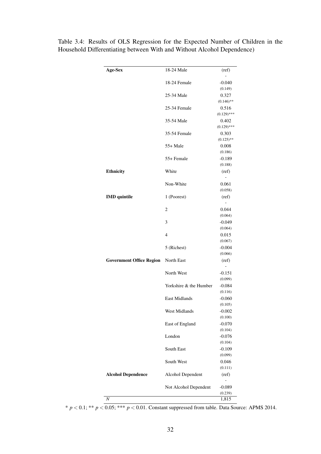| Age-Sex                         | 18-24 Male             | (ref)                             |
|---------------------------------|------------------------|-----------------------------------|
|                                 | 18-24 Female           | $-0.040$                          |
|                                 |                        | (0.149)                           |
|                                 | 25-34 Male             | 0.327                             |
|                                 |                        | $(0.146)$ **                      |
|                                 | 25-34 Female           | 0.516                             |
|                                 |                        | $(0.129)$ ***                     |
|                                 | 35-54 Male             | 0.402                             |
|                                 |                        | $(0.129)$ ***                     |
|                                 | 35-54 Female           | 0.303                             |
|                                 |                        | $(0.125)$ **                      |
|                                 | 55+ Male               | 0.008                             |
|                                 |                        | (0.186)                           |
|                                 | 55+ Female             | $-0.189$                          |
|                                 |                        | (0.188)                           |
| <b>Ethnicity</b>                | White                  | (ref)                             |
|                                 | Non-White              | 0.061                             |
|                                 |                        | (0.058)                           |
| <b>IMD</b> quintile             | 1 (Poorest)            | (ref)                             |
|                                 |                        | -                                 |
|                                 | $\overline{2}$         | 0.044                             |
|                                 |                        | (0.064)                           |
|                                 | 3                      | $-0.049$                          |
|                                 |                        | (0.064)                           |
|                                 | 4                      | 0.015                             |
|                                 |                        | (0.067)                           |
|                                 | 5 (Richest)            | $-0.004$                          |
|                                 |                        | (0.066)                           |
| <b>Government Office Region</b> | North East             | (ref)<br>$\overline{\phantom{0}}$ |
|                                 | North West             | $-0.151$                          |
|                                 |                        | (0.099)                           |
|                                 | Yorkshire & the Humber | $-0.084$                          |
|                                 |                        | (0.116)                           |
|                                 | <b>East Midlands</b>   | $-0.060$                          |
|                                 |                        | (0.105)                           |
|                                 | <b>West Midlands</b>   | $-0.002$                          |
|                                 |                        | (0.100)                           |
|                                 | East of England        | $-0.070$                          |
|                                 |                        | (0.104)                           |
|                                 | London                 | $-0.076$                          |
|                                 |                        | (0.104)                           |
|                                 | South East             | $-0.109$                          |
|                                 |                        | (0.099)                           |
|                                 | South West             | 0.046                             |
|                                 |                        | (0.111)                           |
| <b>Alcohol Dependence</b>       | Alcohol Dependent      | (ref)<br>-                        |
|                                 | Not Alcohol Dependent  | $-0.089$                          |
|                                 |                        | (0.239)                           |
| $\cal N$                        |                        | 1,815                             |

<span id="page-42-0"></span>Table 3.4: Results of OLS Regression for the Expected Number of Children in the Household Differentiating between With and Without Alcohol Dependence)

 $* p < 0.1; ** p < 0.05; *** p < 0.01$ . Constant suppressed from table. Data Source: APMS 2014.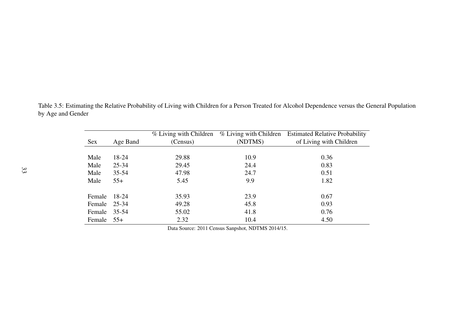| <b>Sex</b>   | Age Band  | % Living with Children<br>(Census) | % Living with Children<br>(NDTMS) | <b>Estimated Relative Probability</b><br>of Living with Children |
|--------------|-----------|------------------------------------|-----------------------------------|------------------------------------------------------------------|
| Male         | 18-24     | 29.88                              | 10.9                              | 0.36                                                             |
| Male         | 25-34     | 29.45                              | 24.4                              | 0.83                                                             |
| Male         | $35 - 54$ | 47.98                              | 24.7                              | 0.51                                                             |
| Male         | $55+$     | 5.45                               | 9.9                               | 1.82                                                             |
| Female       | 18-24     | 35.93                              | 23.9                              | 0.67                                                             |
| Female 25-34 |           | 49.28                              | 45.8                              | 0.93                                                             |
| Female       | 35-54     | 55.02                              | 41.8                              | 0.76                                                             |
| Female 55+   |           | 2.32                               | 10.4                              | 4.50                                                             |

<span id="page-43-0"></span>Table 3.5: Estimating the Relative Probability of Living with Children for <sup>a</sup> Person Treated for Alcohol Dependence versus the General Populationby Age and Gender

Data Source: 2011 Census Sanpshot, NDTMS 2014/15.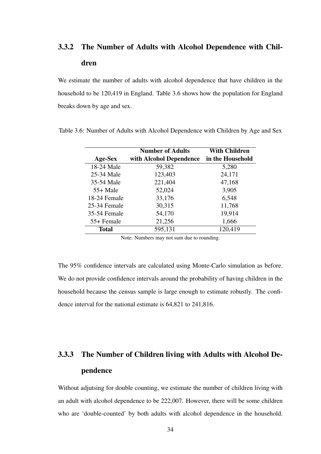# <span id="page-44-0"></span>3.3.2 The Number of Adults with Alcohol Dependence with Children

We estimate the number of adults with alcohol dependence that have children in the household to be 120,419 in England. [Table 3.6](#page-44-2) shows how the population for England breaks down by age and sex.

| Age-Sex      | <b>Number of Adults</b><br>with Alcohol Dependence | <b>With Children</b><br>in the Household |
|--------------|----------------------------------------------------|------------------------------------------|
| 18-24 Male   | 59,382                                             | 5,280                                    |
| 25-34 Male   | 123,403                                            | 24,171                                   |
| 35-54 Male   | 221,404                                            | 47,168                                   |
| $55+$ Male   | 52,024                                             | 3,905                                    |
| 18-24 Female | 33,176                                             | 6,548                                    |
| 25-34 Female | 30,315                                             | 11,768                                   |
| 35-54 Female | 54,170                                             | 19,914                                   |
| 55+ Female   | 21,256                                             | 1,666                                    |
| Total        | 595,131                                            | 120,419                                  |

<span id="page-44-2"></span>Table 3.6: Number of Adults with Alcohol Dependence with Children by Age and Sex

Note: Numbers may not sum due to rounding.

The 95% confidence intervals are calculated using Monte-Carlo simulation as before. We do not provide confidence intervals around the probability of having children in the household because the census sample is large enough to estimate robustly. The confidence interval for the national estimate is 64,821 to 241,816.

# <span id="page-44-1"></span>3.3.3 The Number of Children living with Adults with Alcohol Dependence

Without adjutsing for double counting, we estimate the number of children living with an adult with alcohol dependence to be 222,007. However, there will be some children who are 'double-counted' by both adults with alcohol dependence in the household.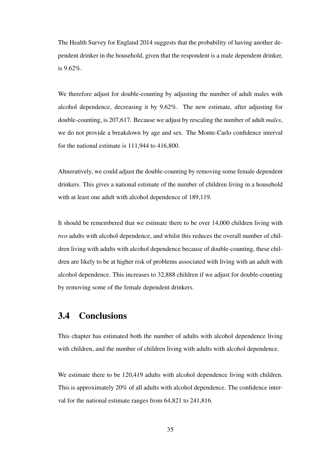The Health Survey for England 2014 suggests that the probability of having another dependent drinker in the household, given that the respondent is a male dependent drinker, is 9.62%.

We therefore adjust for double-counting by adjusting the number of adult males with alcohol dependence, decreasing it by 9.62%. The new estimate, after adjusting for double-counting, is 207,617. Because we adjust by rescaling the number of adult *males*, we do not provide a breakdown by age and sex. The Monte-Carlo confidence interval for the national estimate is 111,944 to 416,800.

Altneratively, we could adjust the double-counting by removing some female dependent drinkers. This gives a national estimate of the number of children living in a household with at least one adult with alcohol dependence of 189,119.

It should be remembered that we estimate there to be over 14,000 children living with *two* adults with alcohol dependence, and whilst this reduces the overall number of children living with adults with alcohol dependence because of double-counting, these children are likely to be at higher risk of problems associated with living with an adult with alcohol dependence. This increases to 32,888 children if we adjust for double-counting by removing some of the female dependent drinkers.

#### <span id="page-45-0"></span>3.4 Conclusions

This chapter has estimated both the number of adults with alcohol dependence living with children, and the number of children living with adults with alcohol dependence.

We estimate there to be 120,419 adults with alcohol dependence living with children. This is approximately 20% of all adults with alcohol dependence. The confidence interval for the national estimate ranges from 64,821 to 241,816.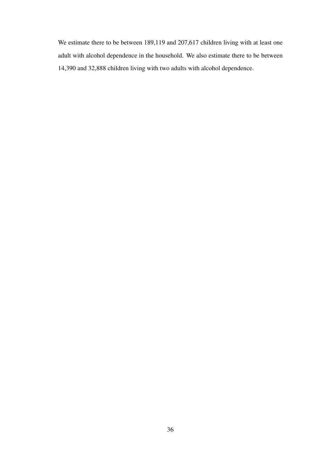We estimate there to be between 189,119 and 207,617 children living with at least one adult with alcohol dependence in the household. We also estimate there to be between 14,390 and 32,888 children living with two adults with alcohol dependence.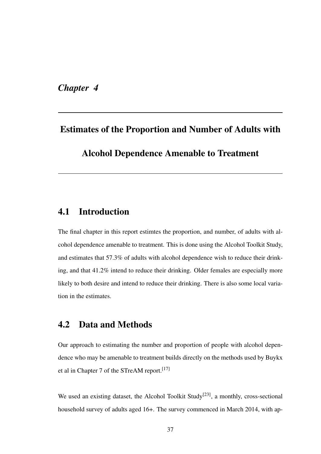<span id="page-47-0"></span>*Chapter 4*

# Estimates of the Proportion and Number of Adults with Alcohol Dependence Amenable to Treatment

#### <span id="page-47-1"></span>4.1 Introduction

The final chapter in this report estimtes the proportion, and number, of adults with alcohol dependence amenable to treatment. This is done using the Alcohol Toolkit Study, and estimates that 57.3% of adults with alcohol dependence wish to reduce their drinking, and that 41.2% intend to reduce their drinking. Older females are especially more likely to both desire and intend to reduce their drinking. There is also some local variation in the estimates.

#### <span id="page-47-2"></span>4.2 Data and Methods

Our approach to estimating the number and proportion of people with alcohol dependence who may be amenable to treatment builds directly on the methods used by Buykx et al in Chapter 7 of the STreAM report.<sup>[17]</sup>

We used an existing dataset, the Alcohol Toolkit Study<sup>[23]</sup>, a monthly, cross-sectional household survey of adults aged 16+. The survey commenced in March 2014, with ap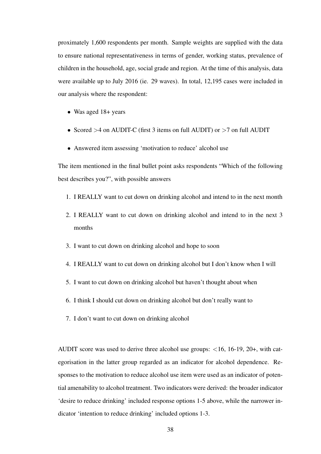proximately 1,600 respondents per month. Sample weights are supplied with the data to ensure national representativeness in terms of gender, working status, prevalence of children in the household, age, social grade and region. At the time of this analysis, data were available up to July 2016 (ie. 29 waves). In total, 12,195 cases were included in our analysis where the respondent:

- Was aged 18+ years
- Scored >4 on AUDIT-C (first 3 items on full AUDIT) or >7 on full AUDIT
- Answered item assessing 'motivation to reduce' alcohol use

The item mentioned in the final bullet point asks respondents "Which of the following best describes you?", with possible answers

- 1. I REALLY want to cut down on drinking alcohol and intend to in the next month
- 2. I REALLY want to cut down on drinking alcohol and intend to in the next 3 months
- 3. I want to cut down on drinking alcohol and hope to soon
- 4. I REALLY want to cut down on drinking alcohol but I don't know when I will
- 5. I want to cut down on drinking alcohol but haven't thought about when
- 6. I think I should cut down on drinking alcohol but don't really want to
- 7. I don't want to cut down on drinking alcohol

AUDIT score was used to derive three alcohol use groups: <16, 16-19, 20+, with categorisation in the latter group regarded as an indicator for alcohol dependence. Responses to the motivation to reduce alcohol use item were used as an indicator of potential amenability to alcohol treatment. Two indicators were derived: the broader indicator 'desire to reduce drinking' included response options 1-5 above, while the narrower indicator 'intention to reduce drinking' included options 1-3.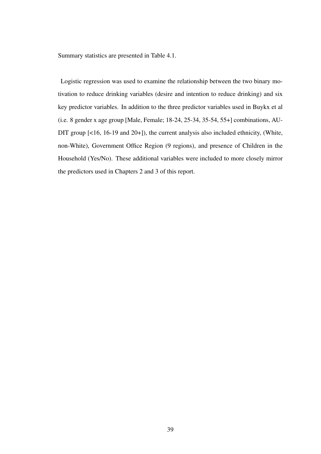Summary statistics are presented in [Table 4.1.](#page-50-0)

Logistic regression was used to examine the relationship between the two binary motivation to reduce drinking variables (desire and intention to reduce drinking) and six key predictor variables. In addition to the three predictor variables used in Buykx et al (i.e. 8 gender x age group [Male, Female; 18-24, 25-34, 35-54, 55+] combinations, AU-DIT group [<16, 16-19 and 20+]), the current analysis also included ethnicity, (White, non-White), Government Office Region (9 regions), and presence of Children in the Household (Yes/No). These additional variables were included to more closely mirror the predictors used in Chapters 2 and 3 of this report.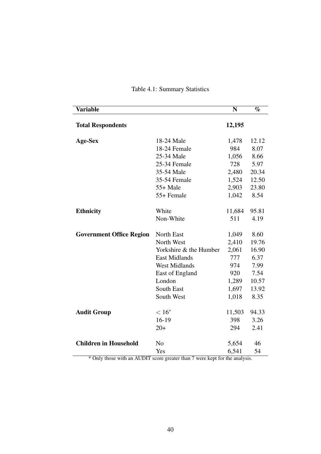<span id="page-50-0"></span>

| <b>Variable</b>                 |                        | N      | $\%$  |
|---------------------------------|------------------------|--------|-------|
| <b>Total Respondents</b>        |                        | 12,195 |       |
| Age-Sex                         | 18-24 Male             | 1,478  | 12.12 |
|                                 | 18-24 Female           | 984    | 8.07  |
|                                 | 25-34 Male             | 1,056  | 8.66  |
|                                 | 25-34 Female           | 728    | 5.97  |
|                                 | 35-54 Male             | 2,480  | 20.34 |
|                                 | 35-54 Female           | 1,524  | 12.50 |
|                                 | $55+$ Male             | 2,903  | 23.80 |
|                                 | 55+ Female             | 1,042  | 8.54  |
| <b>Ethnicity</b>                | White                  | 11,684 | 95.81 |
|                                 | Non-White              | 511    | 4.19  |
| <b>Government Office Region</b> | <b>North East</b>      | 1,049  | 8.60  |
|                                 | North West             | 2,410  | 19.76 |
|                                 | Yorkshire & the Humber | 2,061  | 16.90 |
|                                 | <b>East Midlands</b>   | 777    | 6.37  |
|                                 | <b>West Midlands</b>   | 974    | 7.99  |
|                                 | East of England        | 920    | 7.54  |
|                                 | London                 | 1,289  | 10.57 |
|                                 | South East             | 1,697  | 13.92 |
|                                 | South West             | 1,018  | 8.35  |
|                                 |                        |        |       |
| <b>Audit Group</b>              | $< 16*$                | 11,503 | 94.33 |
|                                 | $16-19$                | 398    | 3.26  |
|                                 | $20+$                  | 294    | 2.41  |
| <b>Children in Household</b>    | N <sub>0</sub>         | 5,654  | 46    |
|                                 | Yes                    | 6,541  | 54    |

#### Table 4.1: Summary Statistics

\* Only those with an AUDIT score greater than 7 were kept for the analysis.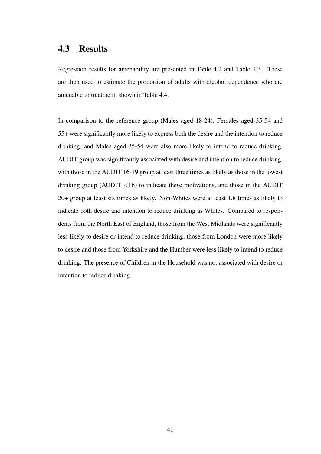#### <span id="page-51-0"></span>4.3 Results

Regression results for amenability are presented in [Table 4.2](#page-52-0) and [Table 4.3.](#page-53-0) These are then used to estimate the proportion of adults with alcohol dependence who are amenable to treatment, shown in [Table 4.4.](#page-54-0)

In comparison to the reference group (Males aged 18-24), Females aged 35-54 and 55+ were significantly more likely to express both the desire and the intention to reduce drinking, and Males aged 35-54 were also more likely to intend to reduce drinking. AUDIT group was significantly associated with desire and intention to reduce drinking, with those in the AUDIT 16-19 group at least three times as likely as those in the lowest drinking group (AUDIT  $\langle 16 \rangle$ ) to indicate these motivations, and those in the AUDIT 20+ group at least six times as likely. Non-Whites were at least 1.8 times as likely to indicate both desire and intention to reduce drinking as Whites. Compared to respondents from the North East of England, those from the West Midlands were significantly less likely to desire or intend to reduce drinking, those from London were more likely to desire and those from Yorkshire and the Humber were less likely to intend to reduce drinking. The presence of Children in the Household was not associated with desire or intention to reduce drinking.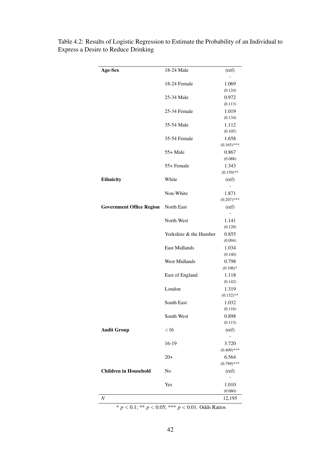| Age-Sex                         | 18-24 Male             | (ref)                  |
|---------------------------------|------------------------|------------------------|
|                                 | 18-24 Female           | 1.069                  |
|                                 |                        | (0.124)                |
|                                 | 25-34 Male             | 0.972                  |
|                                 |                        | (0.113)                |
|                                 | 25-34 Female           | 1.019                  |
|                                 |                        | (0.134)                |
|                                 | 35-54 Male             | 1.112                  |
|                                 |                        | (0.105)                |
|                                 | 35-54 Female           | 1.658                  |
|                                 |                        | $(0.165)$ ***          |
|                                 | $55+$ Male             | 0.867                  |
|                                 |                        | (0.088)                |
|                                 | 55+ Female             | 1.343                  |
|                                 |                        | $(0.159)$ **           |
| <b>Ethnicity</b>                | White                  | (ref)                  |
|                                 |                        |                        |
|                                 | Non-White              | 1.871<br>$(0.207)$ *** |
|                                 |                        |                        |
| <b>Government Office Region</b> | North East             | (ref)                  |
|                                 | North West             | 1.141                  |
|                                 |                        | (0.120)                |
|                                 | Yorkshire & the Humber | 0.855                  |
|                                 |                        | (0.094)                |
|                                 | <b>East Midlands</b>   | 1.034                  |
|                                 |                        | (0.140)                |
|                                 | <b>West Midlands</b>   | 0.798                  |
|                                 |                        | $(0.106)*$             |
|                                 | East of England        | 1.118                  |
|                                 |                        | (0.142)                |
|                                 | London                 | 1.319                  |
|                                 |                        | $(0.152)$ **           |
|                                 | South East             | 1.032                  |
|                                 |                        | (0.116)                |
|                                 | South West             | 0.898                  |
|                                 |                        | (0.115)                |
| <b>Audit Group</b>              | $<$ 16                 | (ref)                  |
|                                 |                        |                        |
|                                 | 16-19                  | 3.720                  |
|                                 |                        | $(0.409)$ ***          |
|                                 | $20+$                  | 6.564<br>$(0.799)$ *** |
| <b>Children in Household</b>    | No                     | (ref)                  |
|                                 |                        | L.                     |
|                                 | Yes                    | 1.010                  |
|                                 |                        | (0.060)                |
| $\cal N$                        |                        | 12,195                 |
|                                 |                        |                        |

<span id="page-52-0"></span>Table 4.2: Results of Logistic Regression to Estimate the Probability of an Individual to Express a Desire to Reduce Drinking

\* *p* < 0.1; \*\* *p* < 0.05; \*\*\* *p* < 0.01. Odds Ratios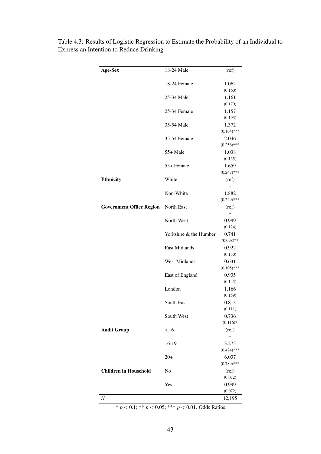| Age-Sex                         | 18-24 Male             | (ref)            |
|---------------------------------|------------------------|------------------|
|                                 | 18-24 Female           | 1.062            |
|                                 |                        | (0.160)          |
|                                 | 25-34 Male             | 1.161            |
|                                 |                        | (0.170)          |
|                                 | 25-34 Female           | 1.157            |
|                                 |                        | (0.193)          |
|                                 | 35-54 Male             | 1.372            |
|                                 |                        | $(0.164)$ ***    |
|                                 | 35-54 Female           | 2.046            |
|                                 |                        | $(0.256)$ ***    |
|                                 | $55+$ Male             | 1.038            |
|                                 |                        | (0.135)          |
|                                 | 55+ Female             | 1.659            |
|                                 |                        | $(0.247)$ ***    |
| Ethnicity                       | White                  | (ref)            |
|                                 |                        |                  |
|                                 | Non-White              | 1.882            |
|                                 |                        | $(0.249)$ ***    |
| <b>Government Office Region</b> | North East             | (ref)            |
|                                 |                        |                  |
|                                 | North West             | 0.999            |
|                                 |                        | (0.124)          |
|                                 | Yorkshire & the Humber | 0.741            |
|                                 |                        | $(0.098)$ **     |
|                                 | <b>East Midlands</b>   | 0.922            |
|                                 |                        | (0.150)          |
|                                 | <b>West Midlands</b>   | 0.631            |
|                                 |                        | $(0.105)$ ***    |
|                                 | East of England        | 0.935            |
|                                 |                        | (0.143)          |
|                                 | London                 | 1.166            |
|                                 |                        | (0.159)          |
|                                 | South East             | 0.813            |
|                                 | South West             | (0.111)<br>0.736 |
|                                 |                        | $(0.116)$ *      |
|                                 | $<$ 16                 |                  |
| <b>Audit Group</b>              |                        | (ref)            |
|                                 | 16-19                  | 3.275            |
|                                 |                        | $(0.424)$ ***    |
|                                 | $20+$                  | 6.037            |
|                                 |                        | $(0.789)$ ***    |
| <b>Children in Household</b>    | No                     | (ref)            |
|                                 |                        | (0.072)          |
|                                 | Yes                    | 0.999            |
|                                 |                        | (0.072)          |
| $\cal N$                        |                        | 12,195           |
|                                 |                        |                  |

<span id="page-53-0"></span>Table 4.3: Results of Logistic Regression to Estimate the Probability of an Individual to Express an Intention to Reduce Drinking

\*  $p < 0.1$ ; \*\*  $p < 0.05$ ; \*\*\*  $p < 0.01$ . Odds Ratios.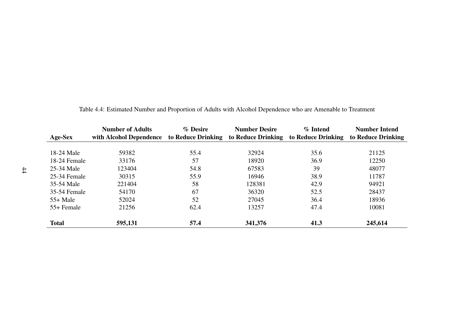<span id="page-54-0"></span>

|              | <b>Number of Adults</b> | % Desire           | <b>Number Desire</b> | % Intend           | <b>Number Intend</b> |
|--------------|-------------------------|--------------------|----------------------|--------------------|----------------------|
| Age-Sex      | with Alcohol Dependence | to Reduce Drinking | to Reduce Drinking   | to Reduce Drinking | to Reduce Drinking   |
|              |                         |                    |                      |                    |                      |
| 18-24 Male   | 59382                   | 55.4               | 32924                | 35.6               | 21125                |
| 18-24 Female | 33176                   | 57                 | 18920                | 36.9               | 12250                |
| 25-34 Male   | 123404                  | 54.8               | 67583                | 39                 | 48077                |
| 25-34 Female | 30315                   | 55.9               | 16946                | 38.9               | 11787                |
| 35-54 Male   | 221404                  | 58                 | 128381               | 42.9               | 94921                |
| 35-54 Female | 54170                   | 67                 | 36320                | 52.5               | 28437                |
| $55+$ Male   | 52024                   | 52                 | 27045                | 36.4               | 18936                |
| 55+ Female   | 21256                   | 62.4               | 13257                | 47.4               | 10081                |
| <b>Total</b> | 595,131                 | 57.4               | 341,376              | 41.3               | 245,614              |

| Table 4.4: Estimated Number and Proportion of Adults with Alcohol Dependence who are Amenable to Treatment |  |  |
|------------------------------------------------------------------------------------------------------------|--|--|
|                                                                                                            |  |  |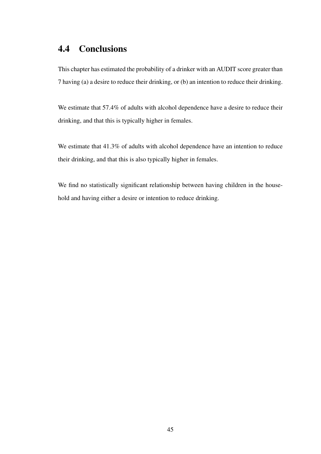## <span id="page-55-0"></span>4.4 Conclusions

This chapter has estimated the probability of a drinker with an AUDIT score greater than 7 having (a) a desire to reduce their drinking, or (b) an intention to reduce their drinking.

We estimate that 57.4% of adults with alcohol dependence have a desire to reduce their drinking, and that this is typically higher in females.

We estimate that 41.3% of adults with alcohol dependence have an intention to reduce their drinking, and that this is also typically higher in females.

We find no statistically significant relationship between having children in the household and having either a desire or intention to reduce drinking.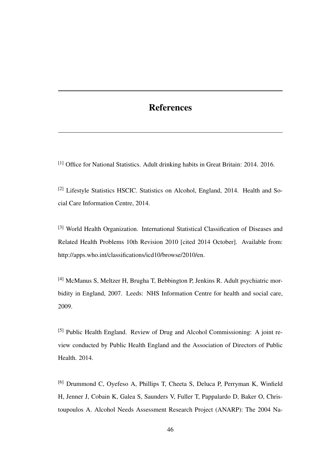#### References

[1] Office for National Statistics. Adult drinking habits in Great Britain: 2014. 2016.

[2] Lifestyle Statistics HSCIC. Statistics on Alcohol, England, 2014. Health and Social Care Information Centre, 2014.

[3] World Health Organization. International Statistical Classification of Diseases and Related Health Problems 10th Revision 2010 [cited 2014 October]. Available from: http://apps.who.int/classifications/icd10/browse/2010/en.

[4] McManus S, Meltzer H, Brugha T, Bebbington P, Jenkins R. Adult psychiatric morbidity in England, 2007. Leeds: NHS Information Centre for health and social care, 2009.

[5] Public Health England. Review of Drug and Alcohol Commissioning: A joint review conducted by Public Health England and the Association of Directors of Public Health. 2014.

[6] Drummond C, Oyefeso A, Phillips T, Cheeta S, Deluca P, Perryman K, Winfield H, Jenner J, Cobain K, Galea S, Saunders V, Fuller T, Pappalardo D, Baker O, Christoupoulos A. Alcohol Needs Assessment Research Project (ANARP): The 2004 Na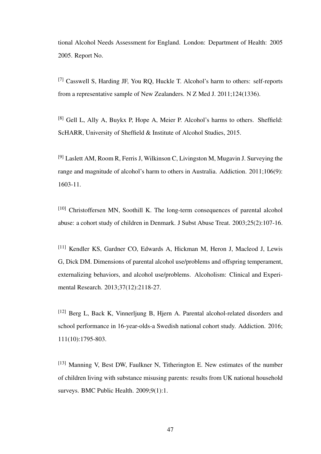tional Alcohol Needs Assessment for England. London: Department of Health: 2005 2005. Report No.

[7] Casswell S, Harding JF, You RQ, Huckle T. Alcohol's harm to others: self-reports from a representative sample of New Zealanders. N Z Med J. 2011;124(1336).

[8] Gell L, Ally A, Buykx P, Hope A, Meier P. Alcohol's harms to others. Sheffield: ScHARR, University of Sheffield & Institute of Alcohol Studies, 2015.

[9] Laslett AM, Room R, Ferris J, Wilkinson C, Livingston M, Mugavin J. Surveying the range and magnitude of alcohol's harm to others in Australia. Addiction. 2011;106(9): 1603-11.

 $[10]$  Christoffersen MN, Soothill K. The long-term consequences of parental alcohol abuse: a cohort study of children in Denmark. J Subst Abuse Treat. 2003;25(2):107-16.

[11] Kendler KS, Gardner CO, Edwards A, Hickman M, Heron J, Macleod J, Lewis G, Dick DM. Dimensions of parental alcohol use/problems and offspring temperament, externalizing behaviors, and alcohol use/problems. Alcoholism: Clinical and Experimental Research. 2013;37(12):2118-27.

[12] Berg L, Back K, Vinnerljung B, Hjern A. Parental alcohol-related disorders and school performance in 16-year-olds-a Swedish national cohort study. Addiction. 2016; 111(10):1795-803.

[13] Manning V, Best DW, Faulkner N, Titherington E. New estimates of the number of children living with substance misusing parents: results from UK national household surveys. BMC Public Health. 2009;9(1):1.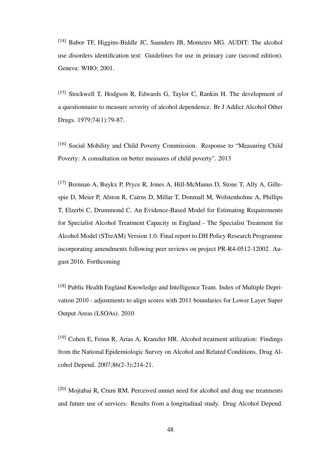[14] Babor TF, Higgins-Biddle JC, Saunders JB, Monteiro MG. AUDIT: The alcohol use disorders identification test: Guidelines for use in primary care (second edition). Geneva: WHO; 2001.

[15] Stockwell T, Hodgson R, Edwards G, Taylor C, Rankin H. The development of a questionnaire to measure severity of alcohol dependence. Br J Addict Alcohol Other Drugs. 1979;74(1):79-87.

[16] Social Mobility and Child Poverty Commission. Response to "Measuring Child" Poverty: A consultation on better measures of child poverty". 2013

[17] Brennan A, Buykx P, Pryce R, Jones A, Hill-McManus D, Stone T, Ally A, Gillespie D, Meier P, Alston R, Cairns D, Millar T, Donmall M, Wolstenholme A, Phillips T, Elzerbi C, Drummond C. An Evidence-Based Model for Estimating Requirements for Specialist Alcohol Treatment Capacity in England - The Specialist Treatment for Alcohol Model (STreAM) Version 1.0. Final report to DH Policy Research Programme incorporating amendments following peer reviews on project PR-R4-0512-12002. August 2016. Forthcoming

[18] Public Health England Knowledge and Intelligence Team. Index of Multiple Deprivation 2010 - adjustments to align scores with 2011 boundaries for Lower Layer Super Output Areas (LSOAs). 2010

[19] Cohen E, Feinn R, Arias A, Kranzler HR. Alcohol treatment utilization: Findings from the National Epidemiologic Survey on Alcohol and Related Conditions. Drug Alcohol Depend. 2007;86(2-3):214-21.

[20] Mojtabai R, Crum RM. Perceived unmet need for alcohol and drug use treatments and future use of services: Results from a longitudinal study. Drug Alcohol Depend.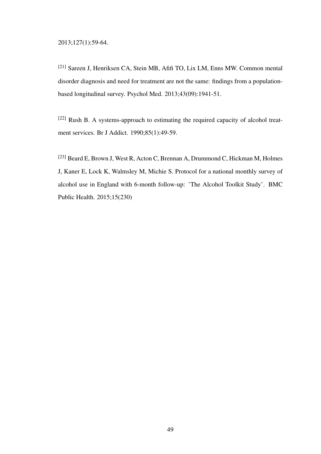[21] Sareen J, Henriksen CA, Stein MB, Afifi TO, Lix LM, Enns MW. Common mental disorder diagnosis and need for treatment are not the same: findings from a populationbased longitudinal survey. Psychol Med. 2013;43(09):1941-51.

[22] Rush B. A systems-approach to estimating the required capacity of alcohol treatment services. Br J Addict. 1990;85(1):49-59.

[23] Beard E, Brown J, West R, Acton C, Brennan A, Drummond C, Hickman M, Holmes J, Kaner E, Lock K, Walmsley M, Michie S. Protocol for a national monthly survey of alcohol use in England with 6-month follow-up: 'The Alcohol Toolkit Study'. BMC Public Health. 2015;15(230)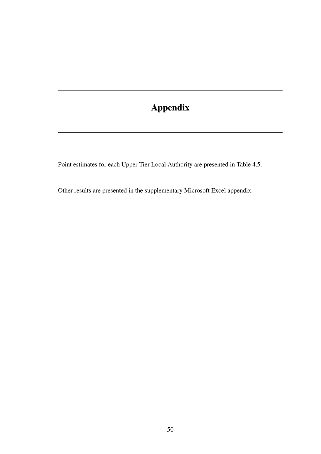# Appendix

Point estimates for each Upper Tier Local Authority are presented in [Table 4.5.](#page-61-0)

Other results are presented in the supplementary Microsoft Excel appendix.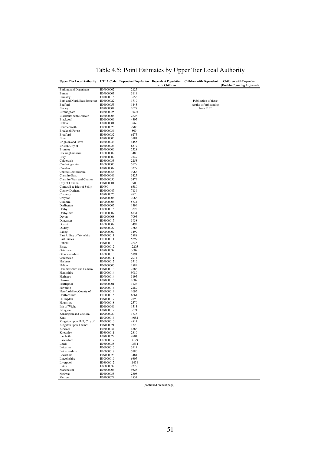<span id="page-61-0"></span>

| <b>Upper Tier Local Authority</b> |                        |              | with Children | UTLA Code Dependent Population Dependent Population Children with Dependent | <b>Children with Dependent</b><br>(Double-Counting Adjusted) |
|-----------------------------------|------------------------|--------------|---------------|-----------------------------------------------------------------------------|--------------------------------------------------------------|
| Barking and Dagenham              | E09000002              | 2125         |               |                                                                             |                                                              |
| Barnet                            | E09000003              | 3114         |               |                                                                             |                                                              |
| Barnsley                          | E08000016              | 3555         |               |                                                                             |                                                              |
| Bath and North East Somerset      | E06000022              | 1719         |               | Publication of these                                                        |                                                              |
| Bedford                           | E06000055              | 1443         |               | results is forthcoming                                                      |                                                              |
| Bexley                            | E09000004              | 2027         |               | from PHE                                                                    |                                                              |
| Birmingham                        | E08000025              | 13603        |               |                                                                             |                                                              |
| Blackburn with Darwen             | E06000008              | 2628         |               |                                                                             |                                                              |
| Blackpool                         | E06000009              | 4305         |               |                                                                             |                                                              |
| Bolton                            | E08000001              | 3768         |               |                                                                             |                                                              |
| Bournemouth                       | E06000028              | 2988         |               |                                                                             |                                                              |
| <b>Bracknell Forest</b>           | E06000036              | 809          |               |                                                                             |                                                              |
| <b>Bradford</b>                   | E08000032              | 6275         |               |                                                                             |                                                              |
| <b>Brent</b>                      | E09000005              | 3181         |               |                                                                             |                                                              |
| Brighton and Hove                 | E06000043              | 4455<br>6572 |               |                                                                             |                                                              |
| Bristol, City of<br>Bromley       | E06000023<br>E09000006 | 2528         |               |                                                                             |                                                              |
| Buckinghamshire                   | E10000002              | 3488         |               |                                                                             |                                                              |
| Bury                              | E08000002              | 2147         |               |                                                                             |                                                              |
| Calderdale                        | E08000033              | 2253         |               |                                                                             |                                                              |
| Cambridgeshire                    | E10000003              | 5578         |               |                                                                             |                                                              |
| Camden                            | E09000007              | 3277         |               |                                                                             |                                                              |
| Central Bedfordshire              | E06000056              | 1966         |               |                                                                             |                                                              |
| <b>Cheshire East</b>              | E06000049              | 3427         |               |                                                                             |                                                              |
| Cheshire West and Chester         | E06000050              | 3479         |               |                                                                             |                                                              |
| City of London                    | E09000001              | 90           |               |                                                                             |                                                              |
| Cornwall & Isles of Scilly        | E0999                  | 6589         |               |                                                                             |                                                              |
| County Durham                     | E06000047              | 7136         |               |                                                                             |                                                              |
| Coventry                          | E08000026              | 4770         |               |                                                                             |                                                              |
| Croydon                           | E09000008              | 3068         |               |                                                                             |                                                              |
| Cumbria                           | E10000006              | 5834         |               |                                                                             |                                                              |
| Darlington                        | E06000005              | 1399         |               |                                                                             |                                                              |
| Derby                             | E06000015              | 3222         |               |                                                                             |                                                              |
| Derbyshire                        | E10000007              | 8534         |               |                                                                             |                                                              |
| Devon                             | E10000008              | 7095         |               |                                                                             |                                                              |
| Doncaster                         | E08000017              | 3938         |               |                                                                             |                                                              |
| Dorset                            | E10000009              | 3492         |               |                                                                             |                                                              |
| Dudley                            | E08000027              | 3863         |               |                                                                             |                                                              |
| Ealing                            | E09000009              | 3499         |               |                                                                             |                                                              |
| East Riding of Yorkshire          | E06000011              | 2888         |               |                                                                             |                                                              |
| <b>East Sussex</b>                | E10000011              | 5297         |               |                                                                             |                                                              |
| Enfield                           | E09000010              | 2845         |               |                                                                             |                                                              |
| Essex                             | E10000012              | 12205        |               |                                                                             |                                                              |
| Gateshead                         | E08000037              | 3007         |               |                                                                             |                                                              |
| Gloucestershire                   | E10000013              | 5194         |               |                                                                             |                                                              |
| Greenwich                         | E09000011              | 2914         |               |                                                                             |                                                              |
| Hackney                           | E09000012              | 3716         |               |                                                                             |                                                              |
| Halton                            | E06000006              | 1889         |               |                                                                             |                                                              |
| Hammersmith and Fulham            | E09000013              | 2583         |               |                                                                             |                                                              |
| Hampshire                         | E10000014              | 9980         |               |                                                                             |                                                              |
| Haringey                          | E09000014              | 3195         |               |                                                                             |                                                              |
| Harrow<br>Hartlepool              | E09000015<br>E06000001 | 1607<br>1226 |               |                                                                             |                                                              |
| Havering                          | E09000016              | 2189         |               |                                                                             |                                                              |
| Herefordshire, County of          | E06000019              | 1695         |               |                                                                             |                                                              |
| Hertfordshire                     | E10000015              | 8661         |               |                                                                             |                                                              |
| Hillingdon                        | E09000017              | 2790         |               |                                                                             |                                                              |
| Hounslow                          | E09000018              | 2579         |               |                                                                             |                                                              |
| Isle of Wight                     | E06000046              | 1513         |               |                                                                             |                                                              |
| Islington                         | E09000019              | 3674         |               |                                                                             |                                                              |
| Kensington and Chelsea            | E09000020              | 1738         |               |                                                                             |                                                              |
| Kent                              | E10000016              | 14052        |               |                                                                             |                                                              |
| Kingston upon Hull, City of       | E06000010              | 4814         |               |                                                                             |                                                              |
| Kingston upon Thames              | E09000021              | 1320         |               |                                                                             |                                                              |
| Kirklees                          | E08000034              | 4588         |               |                                                                             |                                                              |
| Knowsley                          | E08000011              | 2810         |               |                                                                             |                                                              |
| Lambeth                           | E09000022              | 4701         |               |                                                                             |                                                              |
| Lancashire                        | E10000017              | 14199        |               |                                                                             |                                                              |
| Leeds                             | E08000035              | 10534        |               |                                                                             |                                                              |
| Leicester                         | E06000016              | 3914         |               |                                                                             |                                                              |
| Leicestershire                    | E10000018              | 5180         |               |                                                                             |                                                              |
| Lewisham                          | E09000023              | 3481         |               |                                                                             |                                                              |
| Lincolnshire                      | E10000019              | 6807         |               |                                                                             |                                                              |
| Liverpool                         | E08000012              | 11458        |               |                                                                             |                                                              |
| Luton                             | E06000032              | 2278         |               |                                                                             |                                                              |
| Manchester                        | E08000003              | 9528         |               |                                                                             |                                                              |
| Medway                            | E06000035              | 2808         |               |                                                                             |                                                              |
| Merton                            | E09000024              | 1837         |               |                                                                             |                                                              |

## Table 4.5: Point Estimates by Upper Tier Local Authority

(continued on next page)